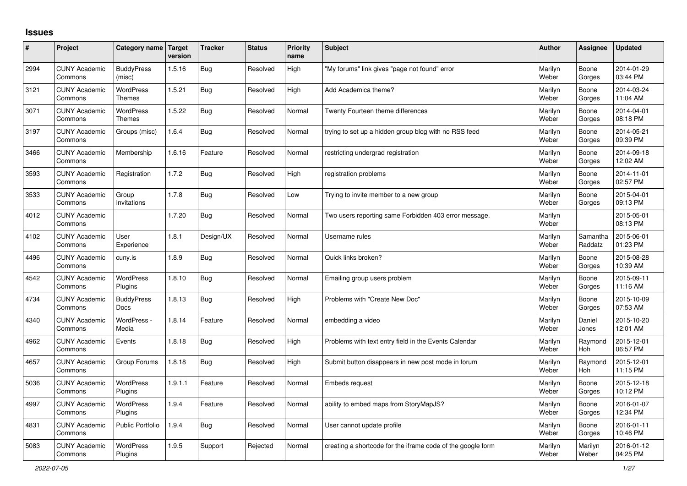## **Issues**

| #    | Project                         | Category name Target              | version | <b>Tracker</b> | <b>Status</b> | <b>Priority</b><br>name | <b>Subject</b>                                              | <b>Author</b>    | Assignee              | <b>Updated</b>         |
|------|---------------------------------|-----------------------------------|---------|----------------|---------------|-------------------------|-------------------------------------------------------------|------------------|-----------------------|------------------------|
| 2994 | <b>CUNY Academic</b><br>Commons | <b>BuddyPress</b><br>(misc)       | 1.5.16  | Bug            | Resolved      | High                    | "My forums" link gives "page not found" error               | Marilyn<br>Weber | Boone<br>Gorges       | 2014-01-29<br>03:44 PM |
| 3121 | <b>CUNY Academic</b><br>Commons | WordPress<br><b>Themes</b>        | 1.5.21  | Bug            | Resolved      | High                    | Add Academica theme?                                        | Marilyn<br>Weber | Boone<br>Gorges       | 2014-03-24<br>11:04 AM |
| 3071 | <b>CUNY Academic</b><br>Commons | <b>WordPress</b><br><b>Themes</b> | 1.5.22  | Bug            | Resolved      | Normal                  | Twenty Fourteen theme differences                           | Marilyn<br>Weber | Boone<br>Gorges       | 2014-04-01<br>08:18 PM |
| 3197 | <b>CUNY Academic</b><br>Commons | Groups (misc)                     | 1.6.4   | Bug            | Resolved      | Normal                  | trying to set up a hidden group blog with no RSS feed       | Marilyn<br>Weber | Boone<br>Gorges       | 2014-05-21<br>09:39 PM |
| 3466 | <b>CUNY Academic</b><br>Commons | Membership                        | 1.6.16  | Feature        | Resolved      | Normal                  | restricting undergrad registration                          | Marilyn<br>Weber | Boone<br>Gorges       | 2014-09-18<br>12:02 AM |
| 3593 | <b>CUNY Academic</b><br>Commons | Registration                      | 1.7.2   | Bug            | Resolved      | High                    | registration problems                                       | Marilyn<br>Weber | Boone<br>Gorges       | 2014-11-01<br>02:57 PM |
| 3533 | <b>CUNY Academic</b><br>Commons | Group<br>Invitations              | 1.7.8   | Bug            | Resolved      | Low                     | Trying to invite member to a new group                      | Marilyn<br>Weber | Boone<br>Gorges       | 2015-04-01<br>09:13 PM |
| 4012 | <b>CUNY Academic</b><br>Commons |                                   | 1.7.20  | <b>Bug</b>     | Resolved      | Normal                  | Two users reporting same Forbidden 403 error message.       | Marilyn<br>Weber |                       | 2015-05-01<br>08:13 PM |
| 4102 | <b>CUNY Academic</b><br>Commons | User<br>Experience                | 1.8.1   | Design/UX      | Resolved      | Normal                  | Username rules                                              | Marilyn<br>Weber | Samantha<br>Raddatz   | 2015-06-01<br>01:23 PM |
| 4496 | <b>CUNY Academic</b><br>Commons | cuny.is                           | 1.8.9   | Bug            | Resolved      | Normal                  | Quick links broken?                                         | Marilyn<br>Weber | Boone<br>Gorges       | 2015-08-28<br>10:39 AM |
| 4542 | <b>CUNY Academic</b><br>Commons | <b>WordPress</b><br>Plugins       | 1.8.10  | Bug            | Resolved      | Normal                  | Emailing group users problem                                | Marilyn<br>Weber | Boone<br>Gorges       | 2015-09-11<br>11:16 AM |
| 4734 | <b>CUNY Academic</b><br>Commons | <b>BuddyPress</b><br><b>Docs</b>  | 1.8.13  | Bug            | Resolved      | High                    | Problems with "Create New Doc"                              | Marilyn<br>Weber | Boone<br>Gorges       | 2015-10-09<br>07:53 AM |
| 4340 | <b>CUNY Academic</b><br>Commons | WordPress -<br>Media              | 1.8.14  | Feature        | Resolved      | Normal                  | embedding a video                                           | Marilyn<br>Weber | Daniel<br>Jones       | 2015-10-20<br>12:01 AM |
| 4962 | <b>CUNY Academic</b><br>Commons | Events                            | 1.8.18  | Bug            | Resolved      | High                    | Problems with text entry field in the Events Calendar       | Marilyn<br>Weber | Raymond<br>Hoh        | 2015-12-01<br>06:57 PM |
| 4657 | <b>CUNY Academic</b><br>Commons | Group Forums                      | 1.8.18  | <b>Bug</b>     | Resolved      | High                    | Submit button disappears in new post mode in forum          | Marilyn<br>Weber | Raymond<br><b>Hoh</b> | 2015-12-01<br>11:15 PM |
| 5036 | <b>CUNY Academic</b><br>Commons | WordPress<br>Plugins              | 1.9.1.1 | Feature        | Resolved      | Normal                  | Embeds request                                              | Marilyn<br>Weber | Boone<br>Gorges       | 2015-12-18<br>10:12 PM |
| 4997 | <b>CUNY Academic</b><br>Commons | WordPress<br>Plugins              | 1.9.4   | Feature        | Resolved      | Normal                  | ability to embed maps from StoryMapJS?                      | Marilyn<br>Weber | Boone<br>Gorges       | 2016-01-07<br>12:34 PM |
| 4831 | <b>CUNY Academic</b><br>Commons | Public Portfolio                  | 1.9.4   | Bug            | Resolved      | Normal                  | User cannot update profile                                  | Marilyn<br>Weber | Boone<br>Gorges       | 2016-01-11<br>10:46 PM |
| 5083 | <b>CUNY Academic</b><br>Commons | <b>WordPress</b><br>Plugins       | 1.9.5   | Support        | Rejected      | Normal                  | creating a shortcode for the iframe code of the google form | Marilyn<br>Weber | Marilyn<br>Weber      | 2016-01-12<br>04:25 PM |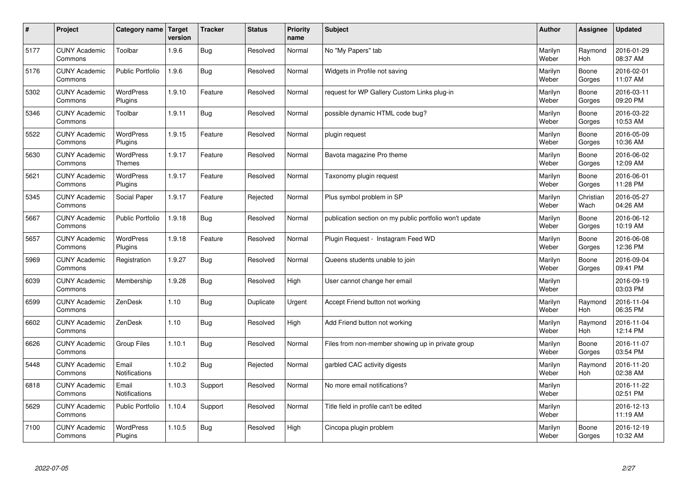| $\sharp$ | Project                         | Category name   Target        | version | <b>Tracker</b> | <b>Status</b> | <b>Priority</b><br>name | <b>Subject</b>                                          | <b>Author</b>    | Assignee              | <b>Updated</b>         |
|----------|---------------------------------|-------------------------------|---------|----------------|---------------|-------------------------|---------------------------------------------------------|------------------|-----------------------|------------------------|
| 5177     | <b>CUNY Academic</b><br>Commons | Toolbar                       | 1.9.6   | Bug            | Resolved      | Normal                  | No "My Papers" tab                                      | Marilyn<br>Weber | Raymond<br>Hoh        | 2016-01-29<br>08:37 AM |
| 5176     | <b>CUNY Academic</b><br>Commons | <b>Public Portfolio</b>       | 1.9.6   | Bug            | Resolved      | Normal                  | Widgets in Profile not saving                           | Marilyn<br>Weber | Boone<br>Gorges       | 2016-02-01<br>11:07 AM |
| 5302     | <b>CUNY Academic</b><br>Commons | <b>WordPress</b><br>Plugins   | 1.9.10  | Feature        | Resolved      | Normal                  | request for WP Gallery Custom Links plug-in             | Marilyn<br>Weber | Boone<br>Gorges       | 2016-03-11<br>09:20 PM |
| 5346     | <b>CUNY Academic</b><br>Commons | Toolbar                       | 1.9.11  | Bug            | Resolved      | Normal                  | possible dynamic HTML code bug?                         | Marilyn<br>Weber | Boone<br>Gorges       | 2016-03-22<br>10:53 AM |
| 5522     | <b>CUNY Academic</b><br>Commons | <b>WordPress</b><br>Plugins   | 1.9.15  | Feature        | Resolved      | Normal                  | plugin request                                          | Marilyn<br>Weber | Boone<br>Gorges       | 2016-05-09<br>10:36 AM |
| 5630     | <b>CUNY Academic</b><br>Commons | WordPress<br><b>Themes</b>    | 1.9.17  | Feature        | Resolved      | Normal                  | Bavota magazine Pro theme                               | Marilyn<br>Weber | Boone<br>Gorges       | 2016-06-02<br>12:09 AM |
| 5621     | <b>CUNY Academic</b><br>Commons | WordPress<br>Plugins          | 1.9.17  | Feature        | Resolved      | Normal                  | Taxonomy plugin request                                 | Marilyn<br>Weber | Boone<br>Gorges       | 2016-06-01<br>11:28 PM |
| 5345     | <b>CUNY Academic</b><br>Commons | Social Paper                  | 1.9.17  | Feature        | Rejected      | Normal                  | Plus symbol problem in SP                               | Marilyn<br>Weber | Christian<br>Wach     | 2016-05-27<br>04:26 AM |
| 5667     | <b>CUNY Academic</b><br>Commons | <b>Public Portfolio</b>       | 1.9.18  | Bug            | Resolved      | Normal                  | publication section on my public portfolio won't update | Marilyn<br>Weber | Boone<br>Gorges       | 2016-06-12<br>10:19 AM |
| 5657     | <b>CUNY Academic</b><br>Commons | WordPress<br>Plugins          | 1.9.18  | Feature        | Resolved      | Normal                  | Plugin Request - Instagram Feed WD                      | Marilyn<br>Weber | Boone<br>Gorges       | 2016-06-08<br>12:36 PM |
| 5969     | <b>CUNY Academic</b><br>Commons | Registration                  | 1.9.27  | Bug            | Resolved      | Normal                  | Queens students unable to join                          | Marilyn<br>Weber | Boone<br>Gorges       | 2016-09-04<br>09:41 PM |
| 6039     | <b>CUNY Academic</b><br>Commons | Membership                    | 1.9.28  | Bug            | Resolved      | High                    | User cannot change her email                            | Marilyn<br>Weber |                       | 2016-09-19<br>03:03 PM |
| 6599     | <b>CUNY Academic</b><br>Commons | ZenDesk                       | 1.10    | Bug            | Duplicate     | Urgent                  | Accept Friend button not working                        | Marilyn<br>Weber | Raymond<br>Hoh        | 2016-11-04<br>06:35 PM |
| 6602     | <b>CUNY Academic</b><br>Commons | ZenDesk                       | 1.10    | <b>Bug</b>     | Resolved      | High                    | Add Friend button not working                           | Marilyn<br>Weber | Raymond<br><b>Hoh</b> | 2016-11-04<br>12:14 PM |
| 6626     | <b>CUNY Academic</b><br>Commons | Group Files                   | 1.10.1  | Bug            | Resolved      | Normal                  | Files from non-member showing up in private group       | Marilyn<br>Weber | Boone<br>Gorges       | 2016-11-07<br>03:54 PM |
| 5448     | <b>CUNY Academic</b><br>Commons | Email<br>Notifications        | 1.10.2  | Bug            | Rejected      | Normal                  | garbled CAC activity digests                            | Marilyn<br>Weber | Raymond<br><b>Hoh</b> | 2016-11-20<br>02:38 AM |
| 6818     | <b>CUNY Academic</b><br>Commons | Email<br><b>Notifications</b> | 1.10.3  | Support        | Resolved      | Normal                  | No more email notifications?                            | Marilyn<br>Weber |                       | 2016-11-22<br>02:51 PM |
| 5629     | <b>CUNY Academic</b><br>Commons | Public Portfolio              | 1.10.4  | Support        | Resolved      | Normal                  | Title field in profile can't be edited                  | Marilyn<br>Weber |                       | 2016-12-13<br>11:19 AM |
| 7100     | <b>CUNY Academic</b><br>Commons | <b>WordPress</b><br>Plugins   | 1.10.5  | Bug            | Resolved      | High                    | Cincopa plugin problem                                  | Marilyn<br>Weber | Boone<br>Gorges       | 2016-12-19<br>10:32 AM |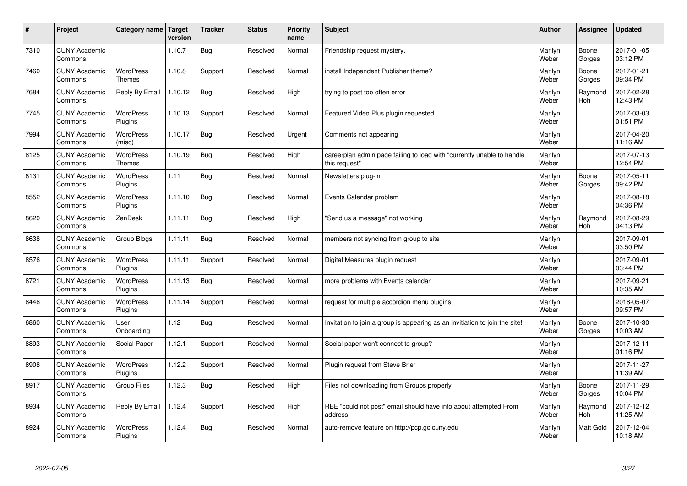| #    | Project                         | Category name                     | <b>Target</b><br>version | <b>Tracker</b> | <b>Status</b> | <b>Priority</b><br>name | <b>Subject</b>                                                                          | <b>Author</b>    | <b>Assignee</b>       | <b>Updated</b>         |
|------|---------------------------------|-----------------------------------|--------------------------|----------------|---------------|-------------------------|-----------------------------------------------------------------------------------------|------------------|-----------------------|------------------------|
| 7310 | <b>CUNY Academic</b><br>Commons |                                   | 1.10.7                   | Bug            | Resolved      | Normal                  | Friendship request mystery.                                                             | Marilyn<br>Weber | Boone<br>Gorges       | 2017-01-05<br>03:12 PM |
| 7460 | <b>CUNY Academic</b><br>Commons | <b>WordPress</b><br><b>Themes</b> | 1.10.8                   | Support        | Resolved      | Normal                  | install Independent Publisher theme?                                                    | Marilyn<br>Weber | Boone<br>Gorges       | 2017-01-21<br>09:34 PM |
| 7684 | <b>CUNY Academic</b><br>Commons | Reply By Email                    | 1.10.12                  | <b>Bug</b>     | Resolved      | High                    | trying to post too often error                                                          | Marilyn<br>Weber | Raymond<br><b>Hoh</b> | 2017-02-28<br>12:43 PM |
| 7745 | <b>CUNY Academic</b><br>Commons | <b>WordPress</b><br>Plugins       | 1.10.13                  | Support        | Resolved      | Normal                  | Featured Video Plus plugin requested                                                    | Marilyn<br>Weber |                       | 2017-03-03<br>01:51 PM |
| 7994 | <b>CUNY Academic</b><br>Commons | <b>WordPress</b><br>(misc)        | 1.10.17                  | Bug            | Resolved      | Urgent                  | Comments not appearing                                                                  | Marilyn<br>Weber |                       | 2017-04-20<br>11:16 AM |
| 8125 | <b>CUNY Academic</b><br>Commons | <b>WordPress</b><br><b>Themes</b> | 1.10.19                  | Bug            | Resolved      | High                    | careerplan admin page failing to load with "currently unable to handle<br>this request" | Marilyn<br>Weber |                       | 2017-07-13<br>12:54 PM |
| 8131 | <b>CUNY Academic</b><br>Commons | WordPress<br>Plugins              | 1.11                     | <b>Bug</b>     | Resolved      | Normal                  | Newsletters plug-in                                                                     | Marilyn<br>Weber | Boone<br>Gorges       | 2017-05-11<br>09:42 PM |
| 8552 | <b>CUNY Academic</b><br>Commons | WordPress<br>Plugins              | 1.11.10                  | <b>Bug</b>     | Resolved      | Normal                  | Events Calendar problem                                                                 | Marilyn<br>Weber |                       | 2017-08-18<br>04:36 PM |
| 8620 | <b>CUNY Academic</b><br>Commons | ZenDesk                           | 1.11.11                  | Bug            | Resolved      | High                    | 'Send us a message" not working                                                         | Marilyn<br>Weber | Raymond<br><b>Hoh</b> | 2017-08-29<br>04:13 PM |
| 8638 | <b>CUNY Academic</b><br>Commons | Group Blogs                       | 1.11.11                  | Bug            | Resolved      | Normal                  | members not syncing from group to site                                                  | Marilyn<br>Weber |                       | 2017-09-01<br>03:50 PM |
| 8576 | <b>CUNY Academic</b><br>Commons | WordPress<br>Plugins              | 1.11.11                  | Support        | Resolved      | Normal                  | Digital Measures plugin request                                                         | Marilyn<br>Weber |                       | 2017-09-01<br>03:44 PM |
| 8721 | <b>CUNY Academic</b><br>Commons | WordPress<br>Plugins              | 1.11.13                  | <b>Bug</b>     | Resolved      | Normal                  | more problems with Events calendar                                                      | Marilyn<br>Weber |                       | 2017-09-21<br>10:35 AM |
| 8446 | <b>CUNY Academic</b><br>Commons | <b>WordPress</b><br>Plugins       | 1.11.14                  | Support        | Resolved      | Normal                  | request for multiple accordion menu plugins                                             | Marilyn<br>Weber |                       | 2018-05-07<br>09:57 PM |
| 6860 | <b>CUNY Academic</b><br>Commons | User<br>Onboarding                | 1.12                     | Bug            | Resolved      | Normal                  | Invitation to join a group is appearing as an invitiation to join the site!             | Marilyn<br>Weber | Boone<br>Gorges       | 2017-10-30<br>10:03 AM |
| 8893 | <b>CUNY Academic</b><br>Commons | Social Paper                      | 1.12.1                   | Support        | Resolved      | Normal                  | Social paper won't connect to group?                                                    | Marilyn<br>Weber |                       | 2017-12-11<br>01:16 PM |
| 8908 | <b>CUNY Academic</b><br>Commons | WordPress<br>Plugins              | 1.12.2                   | Support        | Resolved      | Normal                  | Plugin request from Steve Brier                                                         | Marilyn<br>Weber |                       | 2017-11-27<br>11:39 AM |
| 8917 | <b>CUNY Academic</b><br>Commons | <b>Group Files</b>                | 1.12.3                   | Bug            | Resolved      | High                    | Files not downloading from Groups properly                                              | Marilyn<br>Weber | Boone<br>Gorges       | 2017-11-29<br>10:04 PM |
| 8934 | <b>CUNY Academic</b><br>Commons | Reply By Email                    | 1.12.4                   | Support        | Resolved      | High                    | RBE "could not post" email should have info about attempted From<br>address             | Marilyn<br>Weber | Raymond<br><b>Hoh</b> | 2017-12-12<br>11:25 AM |
| 8924 | <b>CUNY Academic</b><br>Commons | <b>WordPress</b><br>Plugins       | 1.12.4                   | Bug            | Resolved      | Normal                  | auto-remove feature on http://pcp.gc.cuny.edu                                           | Marilyn<br>Weber | <b>Matt Gold</b>      | 2017-12-04<br>10:18 AM |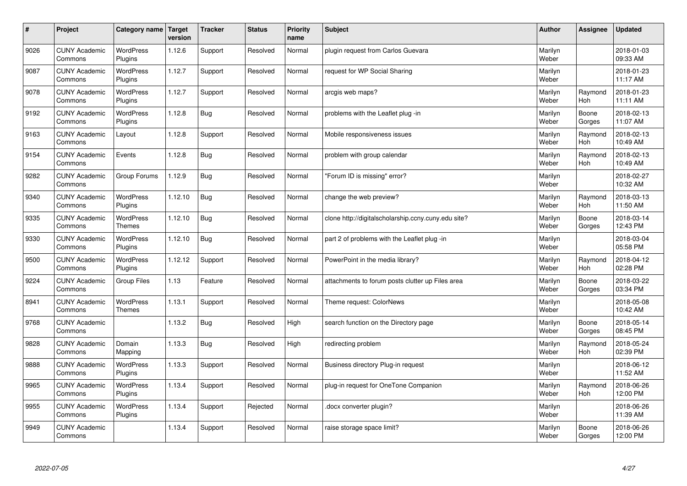| $\sharp$ | Project                         | Category name   Target            | version | <b>Tracker</b> | <b>Status</b> | <b>Priority</b><br>name | <b>Subject</b>                                      | <b>Author</b>    | Assignee              | <b>Updated</b>         |
|----------|---------------------------------|-----------------------------------|---------|----------------|---------------|-------------------------|-----------------------------------------------------|------------------|-----------------------|------------------------|
| 9026     | <b>CUNY Academic</b><br>Commons | <b>WordPress</b><br>Plugins       | 1.12.6  | Support        | Resolved      | Normal                  | plugin request from Carlos Guevara                  | Marilyn<br>Weber |                       | 2018-01-03<br>09:33 AM |
| 9087     | <b>CUNY Academic</b><br>Commons | <b>WordPress</b><br>Plugins       | 1.12.7  | Support        | Resolved      | Normal                  | request for WP Social Sharing                       | Marilyn<br>Weber |                       | 2018-01-23<br>11:17 AM |
| 9078     | <b>CUNY Academic</b><br>Commons | <b>WordPress</b><br>Plugins       | 1.12.7  | Support        | Resolved      | Normal                  | arcgis web maps?                                    | Marilyn<br>Weber | Raymond<br>Hoh        | 2018-01-23<br>11:11 AM |
| 9192     | <b>CUNY Academic</b><br>Commons | <b>WordPress</b><br>Plugins       | 1.12.8  | <b>Bug</b>     | Resolved      | Normal                  | problems with the Leaflet plug -in                  | Marilyn<br>Weber | Boone<br>Gorges       | 2018-02-13<br>11:07 AM |
| 9163     | <b>CUNY Academic</b><br>Commons | Layout                            | 1.12.8  | Support        | Resolved      | Normal                  | Mobile responsiveness issues                        | Marilyn<br>Weber | Raymond<br><b>Hoh</b> | 2018-02-13<br>10:49 AM |
| 9154     | <b>CUNY Academic</b><br>Commons | Events                            | 1.12.8  | <b>Bug</b>     | Resolved      | Normal                  | problem with group calendar                         | Marilyn<br>Weber | Raymond<br>Hoh        | 2018-02-13<br>10:49 AM |
| 9282     | <b>CUNY Academic</b><br>Commons | Group Forums                      | 1.12.9  | Bug            | Resolved      | Normal                  | 'Forum ID is missing" error?                        | Marilyn<br>Weber |                       | 2018-02-27<br>10:32 AM |
| 9340     | <b>CUNY Academic</b><br>Commons | WordPress<br>Plugins              | 1.12.10 | <b>Bug</b>     | Resolved      | Normal                  | change the web preview?                             | Marilyn<br>Weber | Raymond<br>Hoh        | 2018-03-13<br>11:50 AM |
| 9335     | <b>CUNY Academic</b><br>Commons | WordPress<br><b>Themes</b>        | 1.12.10 | Bug            | Resolved      | Normal                  | clone http://digitalscholarship.ccny.cuny.edu site? | Marilyn<br>Weber | Boone<br>Gorges       | 2018-03-14<br>12:43 PM |
| 9330     | <b>CUNY Academic</b><br>Commons | <b>WordPress</b><br>Plugins       | 1.12.10 | <b>Bug</b>     | Resolved      | Normal                  | part 2 of problems with the Leaflet plug -in        | Marilyn<br>Weber |                       | 2018-03-04<br>05:58 PM |
| 9500     | <b>CUNY Academic</b><br>Commons | <b>WordPress</b><br>Plugins       | 1.12.12 | Support        | Resolved      | Normal                  | PowerPoint in the media library?                    | Marilyn<br>Weber | Raymond<br>Hoh        | 2018-04-12<br>02:28 PM |
| 9224     | <b>CUNY Academic</b><br>Commons | <b>Group Files</b>                | 1.13    | Feature        | Resolved      | Normal                  | attachments to forum posts clutter up Files area    | Marilyn<br>Weber | Boone<br>Gorges       | 2018-03-22<br>03:34 PM |
| 8941     | <b>CUNY Academic</b><br>Commons | <b>WordPress</b><br><b>Themes</b> | 1.13.1  | Support        | Resolved      | Normal                  | Theme request: ColorNews                            | Marilyn<br>Weber |                       | 2018-05-08<br>10:42 AM |
| 9768     | <b>CUNY Academic</b><br>Commons |                                   | 1.13.2  | Bug            | Resolved      | High                    | search function on the Directory page               | Marilyn<br>Weber | Boone<br>Gorges       | 2018-05-14<br>08:45 PM |
| 9828     | <b>CUNY Academic</b><br>Commons | Domain<br>Mapping                 | 1.13.3  | Bug            | Resolved      | High                    | redirecting problem                                 | Marilyn<br>Weber | Raymond<br><b>Hoh</b> | 2018-05-24<br>02:39 PM |
| 9888     | <b>CUNY Academic</b><br>Commons | <b>WordPress</b><br>Plugins       | 1.13.3  | Support        | Resolved      | Normal                  | Business directory Plug-in request                  | Marilyn<br>Weber |                       | 2018-06-12<br>11:52 AM |
| 9965     | <b>CUNY Academic</b><br>Commons | WordPress<br>Plugins              | 1.13.4  | Support        | Resolved      | Normal                  | plug-in request for OneTone Companion               | Marilyn<br>Weber | Raymond<br><b>Hoh</b> | 2018-06-26<br>12:00 PM |
| 9955     | <b>CUNY Academic</b><br>Commons | WordPress<br>Plugins              | 1.13.4  | Support        | Rejected      | Normal                  | docx converter plugin?                              | Marilyn<br>Weber |                       | 2018-06-26<br>11:39 AM |
| 9949     | <b>CUNY Academic</b><br>Commons |                                   | 1.13.4  | Support        | Resolved      | Normal                  | raise storage space limit?                          | Marilyn<br>Weber | Boone<br>Gorges       | 2018-06-26<br>12:00 PM |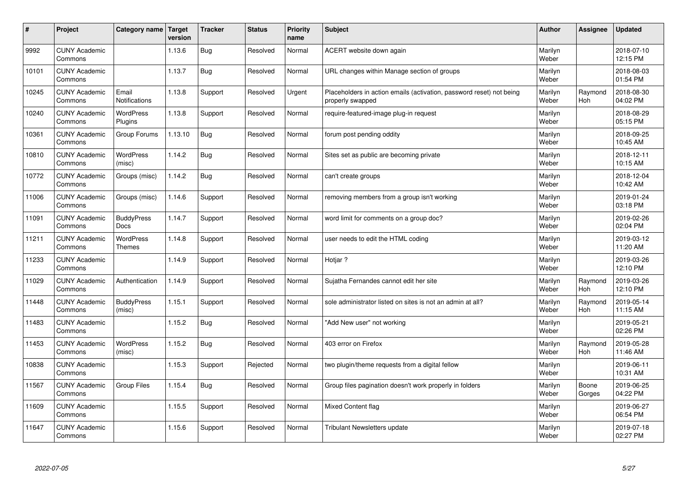| #     | Project                         | Category name   Target            | version | <b>Tracker</b> | <b>Status</b> | <b>Priority</b><br>name | <b>Subject</b>                                                                           | <b>Author</b>    | Assignee        | <b>Updated</b>         |
|-------|---------------------------------|-----------------------------------|---------|----------------|---------------|-------------------------|------------------------------------------------------------------------------------------|------------------|-----------------|------------------------|
| 9992  | <b>CUNY Academic</b><br>Commons |                                   | 1.13.6  | <b>Bug</b>     | Resolved      | Normal                  | ACERT website down again                                                                 | Marilyn<br>Weber |                 | 2018-07-10<br>12:15 PM |
| 10101 | <b>CUNY Academic</b><br>Commons |                                   | 1.13.7  | <b>Bug</b>     | Resolved      | Normal                  | URL changes within Manage section of groups                                              | Marilyn<br>Weber |                 | 2018-08-03<br>01:54 PM |
| 10245 | <b>CUNY Academic</b><br>Commons | Email<br><b>Notifications</b>     | 1.13.8  | Support        | Resolved      | Urgent                  | Placeholders in action emails (activation, password reset) not being<br>properly swapped | Marilyn<br>Weber | Raymond<br>Hoh  | 2018-08-30<br>04:02 PM |
| 10240 | <b>CUNY Academic</b><br>Commons | <b>WordPress</b><br>Plugins       | 1.13.8  | Support        | Resolved      | Normal                  | require-featured-image plug-in request                                                   | Marilyn<br>Weber |                 | 2018-08-29<br>05:15 PM |
| 10361 | <b>CUNY Academic</b><br>Commons | Group Forums                      | 1.13.10 | <b>Bug</b>     | Resolved      | Normal                  | forum post pending oddity                                                                | Marilyn<br>Weber |                 | 2018-09-25<br>10:45 AM |
| 10810 | <b>CUNY Academic</b><br>Commons | <b>WordPress</b><br>(misc)        | 1.14.2  | <b>Bug</b>     | Resolved      | Normal                  | Sites set as public are becoming private                                                 | Marilyn<br>Weber |                 | 2018-12-11<br>10:15 AM |
| 10772 | <b>CUNY Academic</b><br>Commons | Groups (misc)                     | 1.14.2  | Bug            | Resolved      | Normal                  | can't create groups                                                                      | Marilyn<br>Weber |                 | 2018-12-04<br>10:42 AM |
| 11006 | <b>CUNY Academic</b><br>Commons | Groups (misc)                     | 1.14.6  | Support        | Resolved      | Normal                  | removing members from a group isn't working                                              | Marilyn<br>Weber |                 | 2019-01-24<br>03:18 PM |
| 11091 | <b>CUNY Academic</b><br>Commons | <b>BuddyPress</b><br>Docs         | 1.14.7  | Support        | Resolved      | Normal                  | word limit for comments on a group doc?                                                  | Marilyn<br>Weber |                 | 2019-02-26<br>02:04 PM |
| 11211 | <b>CUNY Academic</b><br>Commons | <b>WordPress</b><br><b>Themes</b> | 1.14.8  | Support        | Resolved      | Normal                  | user needs to edit the HTML coding                                                       | Marilyn<br>Weber |                 | 2019-03-12<br>11:20 AM |
| 11233 | <b>CUNY Academic</b><br>Commons |                                   | 1.14.9  | Support        | Resolved      | Normal                  | Hotjar?                                                                                  | Marilyn<br>Weber |                 | 2019-03-26<br>12:10 PM |
| 11029 | <b>CUNY Academic</b><br>Commons | Authentication                    | 1.14.9  | Support        | Resolved      | Normal                  | Sujatha Fernandes cannot edit her site                                                   | Marilyn<br>Weber | Raymond<br>Hoh  | 2019-03-26<br>12:10 PM |
| 11448 | <b>CUNY Academic</b><br>Commons | <b>BuddyPress</b><br>(misc)       | 1.15.1  | Support        | Resolved      | Normal                  | sole administrator listed on sites is not an admin at all?                               | Marilyn<br>Weber | Raymond<br>Hoh  | 2019-05-14<br>11:15 AM |
| 11483 | <b>CUNY Academic</b><br>Commons |                                   | 1.15.2  | <b>Bug</b>     | Resolved      | Normal                  | "Add New user" not working                                                               | Marilyn<br>Weber |                 | 2019-05-21<br>02:26 PM |
| 11453 | <b>CUNY Academic</b><br>Commons | WordPress<br>(misc)               | 1.15.2  | <b>Bug</b>     | Resolved      | Normal                  | 403 error on Firefox                                                                     | Marilyn<br>Weber | Raymond<br>Hoh  | 2019-05-28<br>11:46 AM |
| 10838 | <b>CUNY Academic</b><br>Commons |                                   | 1.15.3  | Support        | Rejected      | Normal                  | two plugin/theme requests from a digital fellow                                          | Marilyn<br>Weber |                 | 2019-06-11<br>10:31 AM |
| 11567 | <b>CUNY Academic</b><br>Commons | Group Files                       | 1.15.4  | Bug            | Resolved      | Normal                  | Group files pagination doesn't work properly in folders                                  | Marilyn<br>Weber | Boone<br>Gorges | 2019-06-25<br>04:22 PM |
| 11609 | <b>CUNY Academic</b><br>Commons |                                   | 1.15.5  | Support        | Resolved      | Normal                  | Mixed Content flag                                                                       | Marilyn<br>Weber |                 | 2019-06-27<br>06:54 PM |
| 11647 | <b>CUNY Academic</b><br>Commons |                                   | 1.15.6  | Support        | Resolved      | Normal                  | Tribulant Newsletters update                                                             | Marilyn<br>Weber |                 | 2019-07-18<br>02:27 PM |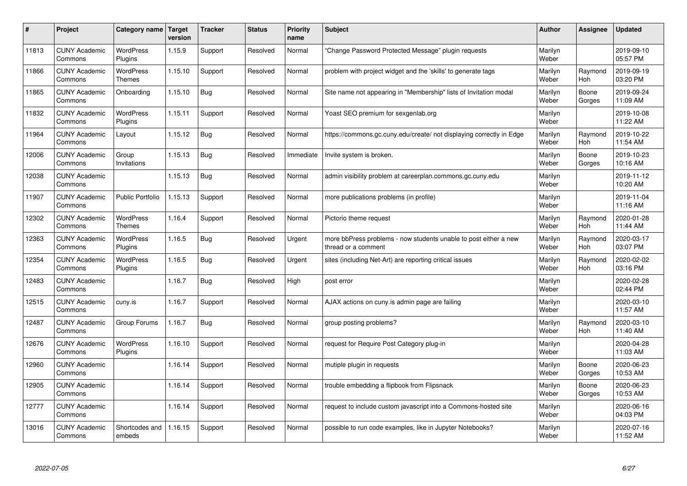| #     | Project                         | Category name   Target            | version | <b>Tracker</b> | <b>Status</b> | <b>Priority</b><br>name | <b>Subject</b>                                                                          | <b>Author</b>    | Assignee              | <b>Updated</b>         |
|-------|---------------------------------|-----------------------------------|---------|----------------|---------------|-------------------------|-----------------------------------------------------------------------------------------|------------------|-----------------------|------------------------|
| 11813 | <b>CUNY Academic</b><br>Commons | <b>WordPress</b><br>Plugins       | 1.15.9  | Support        | Resolved      | Normal                  | 'Change Password Protected Message" plugin requests                                     | Marilyn<br>Weber |                       | 2019-09-10<br>05:57 PM |
| 11866 | <b>CUNY Academic</b><br>Commons | WordPress<br>Themes               | 1.15.10 | Support        | Resolved      | Normal                  | problem with project widget and the 'skills' to generate tags                           | Marilyn<br>Weber | Raymond<br>Hoh        | 2019-09-19<br>03:20 PM |
| 11865 | <b>CUNY Academic</b><br>Commons | Onboarding                        | 1.15.10 | Bug            | Resolved      | Normal                  | Site name not appearing in "Membership" lists of Invitation modal                       | Marilyn<br>Weber | Boone<br>Gorges       | 2019-09-24<br>11:09 AM |
| 11832 | <b>CUNY Academic</b><br>Commons | <b>WordPress</b><br>Plugins       | 1.15.11 | Support        | Resolved      | Normal                  | Yoast SEO premium for sexgenlab.org                                                     | Marilyn<br>Weber |                       | 2019-10-08<br>11:22 AM |
| 11964 | <b>CUNY Academic</b><br>Commons | Layout                            | 1.15.12 | Bug            | Resolved      | Normal                  | https://commons.gc.cuny.edu/create/ not displaying correctly in Edge                    | Marilyn<br>Weber | Raymond<br>Hoh        | 2019-10-22<br>11:54 AM |
| 12006 | <b>CUNY Academic</b><br>Commons | Group<br>Invitations              | 1.15.13 | Bug            | Resolved      | Immediate               | Invite system is broken.                                                                | Marilyn<br>Weber | Boone<br>Gorges       | 2019-10-23<br>10:16 AM |
| 12038 | <b>CUNY Academic</b><br>Commons |                                   | 1.15.13 | <b>Bug</b>     | Resolved      | Normal                  | admin visibility problem at careerplan.commons.gc.cuny.edu                              | Marilyn<br>Weber |                       | 2019-11-12<br>10:20 AM |
| 11907 | <b>CUNY Academic</b><br>Commons | <b>Public Portfolio</b>           | 1.15.13 | Support        | Resolved      | Normal                  | more publications problems (in profile)                                                 | Marilyn<br>Weber |                       | 2019-11-04<br>11:16 AM |
| 12302 | <b>CUNY Academic</b><br>Commons | <b>WordPress</b><br><b>Themes</b> | 1.16.4  | Support        | Resolved      | Normal                  | Pictorio theme request                                                                  | Marilyn<br>Weber | Raymond<br><b>Hoh</b> | 2020-01-28<br>11:44 AM |
| 12363 | <b>CUNY Academic</b><br>Commons | WordPress<br>Plugins              | 1.16.5  | <b>Bug</b>     | Resolved      | Urgent                  | more bbPress problems - now students unable to post either a new<br>thread or a comment | Marilyn<br>Weber | Raymond<br><b>Hoh</b> | 2020-03-17<br>03:07 PM |
| 12354 | <b>CUNY Academic</b><br>Commons | <b>WordPress</b><br>Plugins       | 1.16.5  | Bug            | Resolved      | Urgent                  | sites (including Net-Art) are reporting critical issues                                 | Marilyn<br>Weber | Raymond<br>Hoh        | 2020-02-02<br>03:16 PM |
| 12483 | <b>CUNY Academic</b><br>Commons |                                   | 1.16.7  | Bug            | Resolved      | High                    | post error                                                                              | Marilyn<br>Weber |                       | 2020-02-28<br>02:44 PM |
| 12515 | <b>CUNY Academic</b><br>Commons | cuny.is                           | 1.16.7  | Support        | Resolved      | Normal                  | AJAX actions on cuny is admin page are failing                                          | Marilyn<br>Weber |                       | 2020-03-10<br>11:57 AM |
| 12487 | <b>CUNY Academic</b><br>Commons | Group Forums                      | 1.16.7  | Bug            | Resolved      | Normal                  | group posting problems?                                                                 | Marilyn<br>Weber | Raymond<br><b>Hoh</b> | 2020-03-10<br>11:40 AM |
| 12676 | <b>CUNY Academic</b><br>Commons | <b>WordPress</b><br>Plugins       | 1.16.10 | Support        | Resolved      | Normal                  | request for Require Post Category plug-in                                               | Marilyn<br>Weber |                       | 2020-04-28<br>11:03 AM |
| 12960 | <b>CUNY Academic</b><br>Commons |                                   | 1.16.14 | Support        | Resolved      | Normal                  | mutiple plugin in requests                                                              | Marilyn<br>Weber | Boone<br>Gorges       | 2020-06-23<br>10:53 AM |
| 12905 | <b>CUNY Academic</b><br>Commons |                                   | 1.16.14 | Support        | Resolved      | Normal                  | trouble embedding a flipbook from Flipsnack                                             | Marilyn<br>Weber | Boone<br>Gorges       | 2020-06-23<br>10:53 AM |
| 12777 | <b>CUNY Academic</b><br>Commons |                                   | 1.16.14 | Support        | Resolved      | Normal                  | request to include custom javascript into a Commons-hosted site                         | Marilyn<br>Weber |                       | 2020-06-16<br>04:03 PM |
| 13016 | <b>CUNY Academic</b><br>Commons | Shortcodes and<br>embeds          | 1.16.15 | Support        | Resolved      | Normal                  | possible to run code examples, like in Jupyter Notebooks?                               | Marilyn<br>Weber |                       | 2020-07-16<br>11:52 AM |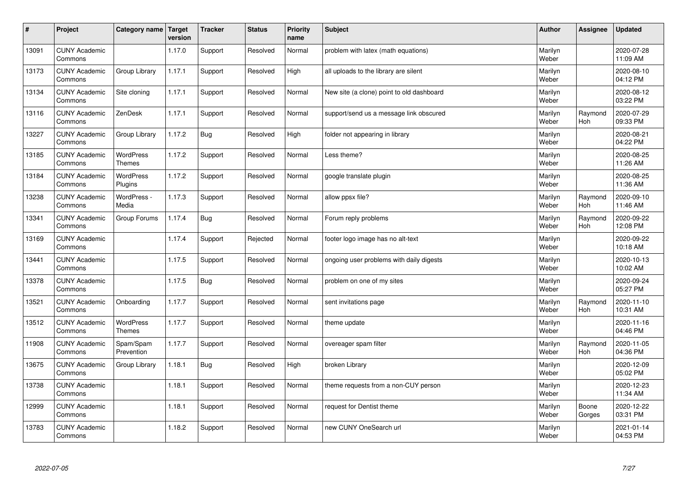| $\sharp$ | Project                         | Category name   Target            | version | <b>Tracker</b> | <b>Status</b> | <b>Priority</b><br>name | <b>Subject</b>                            | <b>Author</b>    | <b>Assignee</b>       | <b>Updated</b>         |
|----------|---------------------------------|-----------------------------------|---------|----------------|---------------|-------------------------|-------------------------------------------|------------------|-----------------------|------------------------|
| 13091    | <b>CUNY Academic</b><br>Commons |                                   | 1.17.0  | Support        | Resolved      | Normal                  | problem with latex (math equations)       | Marilyn<br>Weber |                       | 2020-07-28<br>11:09 AM |
| 13173    | <b>CUNY Academic</b><br>Commons | Group Library                     | 1.17.1  | Support        | Resolved      | High                    | all uploads to the library are silent     | Marilyn<br>Weber |                       | 2020-08-10<br>04:12 PM |
| 13134    | <b>CUNY Academic</b><br>Commons | Site cloning                      | 1.17.1  | Support        | Resolved      | Normal                  | New site (a clone) point to old dashboard | Marilyn<br>Weber |                       | 2020-08-12<br>03:22 PM |
| 13116    | <b>CUNY Academic</b><br>Commons | ZenDesk                           | 1.17.1  | Support        | Resolved      | Normal                  | support/send us a message link obscured   | Marilyn<br>Weber | Raymond<br>Hoh        | 2020-07-29<br>09:33 PM |
| 13227    | <b>CUNY Academic</b><br>Commons | Group Library                     | 1.17.2  | <b>Bug</b>     | Resolved      | High                    | folder not appearing in library           | Marilyn<br>Weber |                       | 2020-08-21<br>04:22 PM |
| 13185    | <b>CUNY Academic</b><br>Commons | <b>WordPress</b><br><b>Themes</b> | 1.17.2  | Support        | Resolved      | Normal                  | Less theme?                               | Marilyn<br>Weber |                       | 2020-08-25<br>11:26 AM |
| 13184    | <b>CUNY Academic</b><br>Commons | <b>WordPress</b><br>Plugins       | 1.17.2  | Support        | Resolved      | Normal                  | google translate plugin                   | Marilyn<br>Weber |                       | 2020-08-25<br>11:36 AM |
| 13238    | <b>CUNY Academic</b><br>Commons | WordPress -<br>Media              | 1.17.3  | Support        | Resolved      | Normal                  | allow ppsx file?                          | Marilyn<br>Weber | Raymond<br>Hoh        | 2020-09-10<br>11:46 AM |
| 13341    | <b>CUNY Academic</b><br>Commons | Group Forums                      | 1.17.4  | Bug            | Resolved      | Normal                  | Forum reply problems                      | Marilyn<br>Weber | Raymond<br>Hoh        | 2020-09-22<br>12:08 PM |
| 13169    | <b>CUNY Academic</b><br>Commons |                                   | 1.17.4  | Support        | Rejected      | Normal                  | footer logo image has no alt-text         | Marilyn<br>Weber |                       | 2020-09-22<br>10:18 AM |
| 13441    | <b>CUNY Academic</b><br>Commons |                                   | 1.17.5  | Support        | Resolved      | Normal                  | ongoing user problems with daily digests  | Marilyn<br>Weber |                       | 2020-10-13<br>10:02 AM |
| 13378    | <b>CUNY Academic</b><br>Commons |                                   | 1.17.5  | Bug            | Resolved      | Normal                  | problem on one of my sites                | Marilyn<br>Weber |                       | 2020-09-24<br>05:27 PM |
| 13521    | <b>CUNY Academic</b><br>Commons | Onboarding                        | 1.17.7  | Support        | Resolved      | Normal                  | sent invitations page                     | Marilyn<br>Weber | Raymond<br>Hoh        | 2020-11-10<br>10:31 AM |
| 13512    | <b>CUNY Academic</b><br>Commons | WordPress<br><b>Themes</b>        | 1.17.7  | Support        | Resolved      | Normal                  | theme update                              | Marilyn<br>Weber |                       | 2020-11-16<br>04:46 PM |
| 11908    | <b>CUNY Academic</b><br>Commons | Spam/Spam<br>Prevention           | 1.17.7  | Support        | Resolved      | Normal                  | overeager spam filter                     | Marilyn<br>Weber | Raymond<br><b>Hoh</b> | 2020-11-05<br>04:36 PM |
| 13675    | <b>CUNY Academic</b><br>Commons | Group Library                     | 1.18.1  | Bug            | Resolved      | High                    | broken Library                            | Marilyn<br>Weber |                       | 2020-12-09<br>05:02 PM |
| 13738    | <b>CUNY Academic</b><br>Commons |                                   | 1.18.1  | Support        | Resolved      | Normal                  | theme requests from a non-CUY person      | Marilyn<br>Weber |                       | 2020-12-23<br>11:34 AM |
| 12999    | <b>CUNY Academic</b><br>Commons |                                   | 1.18.1  | Support        | Resolved      | Normal                  | request for Dentist theme                 | Marilyn<br>Weber | Boone<br>Gorges       | 2020-12-22<br>03:31 PM |
| 13783    | <b>CUNY Academic</b><br>Commons |                                   | 1.18.2  | Support        | Resolved      | Normal                  | new CUNY OneSearch url                    | Marilyn<br>Weber |                       | 2021-01-14<br>04:53 PM |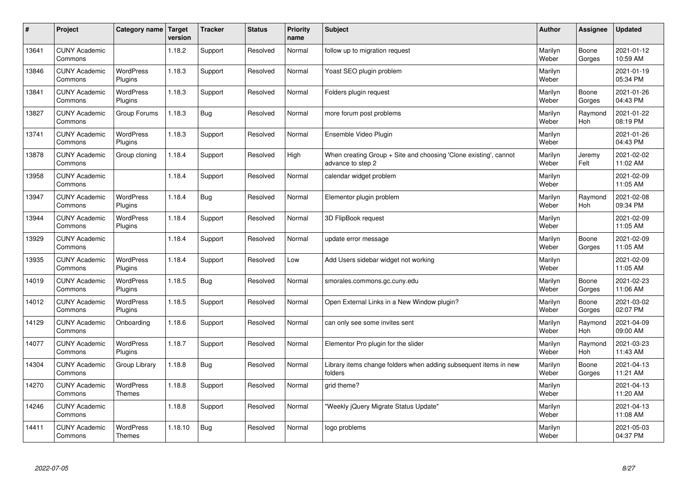| $\sharp$ | Project                         | Category name   Target      | version | <b>Tracker</b> | <b>Status</b> | <b>Priority</b><br>name | <b>Subject</b>                                                                        | <b>Author</b>    | Assignee              | <b>Updated</b>         |
|----------|---------------------------------|-----------------------------|---------|----------------|---------------|-------------------------|---------------------------------------------------------------------------------------|------------------|-----------------------|------------------------|
| 13641    | <b>CUNY Academic</b><br>Commons |                             | 1.18.2  | Support        | Resolved      | Normal                  | follow up to migration request                                                        | Marilyn<br>Weber | Boone<br>Gorges       | 2021-01-12<br>10:59 AM |
| 13846    | <b>CUNY Academic</b><br>Commons | <b>WordPress</b><br>Plugins | 1.18.3  | Support        | Resolved      | Normal                  | Yoast SEO plugin problem                                                              | Marilyn<br>Weber |                       | 2021-01-19<br>05:34 PM |
| 13841    | <b>CUNY Academic</b><br>Commons | <b>WordPress</b><br>Plugins | 1.18.3  | Support        | Resolved      | Normal                  | Folders plugin request                                                                | Marilyn<br>Weber | Boone<br>Gorges       | 2021-01-26<br>04:43 PM |
| 13827    | <b>CUNY Academic</b><br>Commons | Group Forums                | 1.18.3  | Bug            | Resolved      | Normal                  | more forum post problems                                                              | Marilyn<br>Weber | Raymond<br>Hoh        | 2021-01-22<br>08:19 PM |
| 13741    | <b>CUNY Academic</b><br>Commons | <b>WordPress</b><br>Plugins | 1.18.3  | Support        | Resolved      | Normal                  | Ensemble Video Plugin                                                                 | Marilyn<br>Weber |                       | 2021-01-26<br>04:43 PM |
| 13878    | <b>CUNY Academic</b><br>Commons | Group cloning               | 1.18.4  | Support        | Resolved      | High                    | When creating Group + Site and choosing 'Clone existing', cannot<br>advance to step 2 | Marilyn<br>Weber | Jeremy<br>Felt        | 2021-02-02<br>11:02 AM |
| 13958    | <b>CUNY Academic</b><br>Commons |                             | 1.18.4  | Support        | Resolved      | Normal                  | calendar widget problem                                                               | Marilyn<br>Weber |                       | 2021-02-09<br>11:05 AM |
| 13947    | <b>CUNY Academic</b><br>Commons | WordPress<br>Plugins        | 1.18.4  | <b>Bug</b>     | Resolved      | Normal                  | Elementor plugin problem                                                              | Marilyn<br>Weber | Raymond<br>Hoh        | 2021-02-08<br>09:34 PM |
| 13944    | <b>CUNY Academic</b><br>Commons | WordPress<br>Plugins        | 1.18.4  | Support        | Resolved      | Normal                  | 3D FlipBook request                                                                   | Marilyn<br>Weber |                       | 2021-02-09<br>11:05 AM |
| 13929    | <b>CUNY Academic</b><br>Commons |                             | 1.18.4  | Support        | Resolved      | Normal                  | update error message                                                                  | Marilyn<br>Weber | Boone<br>Gorges       | 2021-02-09<br>11:05 AM |
| 13935    | <b>CUNY Academic</b><br>Commons | <b>WordPress</b><br>Plugins | 1.18.4  | Support        | Resolved      | Low                     | Add Users sidebar widget not working                                                  | Marilyn<br>Weber |                       | 2021-02-09<br>11:05 AM |
| 14019    | <b>CUNY Academic</b><br>Commons | <b>WordPress</b><br>Plugins | 1.18.5  | Bug            | Resolved      | Normal                  | smorales.commons.gc.cuny.edu                                                          | Marilyn<br>Weber | Boone<br>Gorges       | 2021-02-23<br>11:06 AM |
| 14012    | <b>CUNY Academic</b><br>Commons | <b>WordPress</b><br>Plugins | 1.18.5  | Support        | Resolved      | Normal                  | Open External Links in a New Window plugin?                                           | Marilyn<br>Weber | Boone<br>Gorges       | 2021-03-02<br>02:07 PM |
| 14129    | <b>CUNY Academic</b><br>Commons | Onboarding                  | 1.18.6  | Support        | Resolved      | Normal                  | can only see some invites sent                                                        | Marilyn<br>Weber | Raymond<br><b>Hoh</b> | 2021-04-09<br>09:00 AM |
| 14077    | <b>CUNY Academic</b><br>Commons | WordPress<br>Plugins        | 1.18.7  | Support        | Resolved      | Normal                  | Elementor Pro plugin for the slider                                                   | Marilyn<br>Weber | Raymond<br>Hoh        | 2021-03-23<br>11:43 AM |
| 14304    | <b>CUNY Academic</b><br>Commons | Group Library               | 1.18.8  | Bug            | Resolved      | Normal                  | Library items change folders when adding subsequent items in new<br>folders           | Marilyn<br>Weber | Boone<br>Gorges       | 2021-04-13<br>11:21 AM |
| 14270    | <b>CUNY Academic</b><br>Commons | WordPress<br>Themes         | 1.18.8  | Support        | Resolved      | Normal                  | grid theme?                                                                           | Marilyn<br>Weber |                       | 2021-04-13<br>11:20 AM |
| 14246    | <b>CUNY Academic</b><br>Commons |                             | 1.18.8  | Support        | Resolved      | Normal                  | 'Weekly jQuery Migrate Status Update"                                                 | Marilyn<br>Weber |                       | 2021-04-13<br>11:08 AM |
| 14411    | <b>CUNY Academic</b><br>Commons | WordPress<br><b>Themes</b>  | 1.18.10 | Bug            | Resolved      | Normal                  | logo problems                                                                         | Marilyn<br>Weber |                       | 2021-05-03<br>04:37 PM |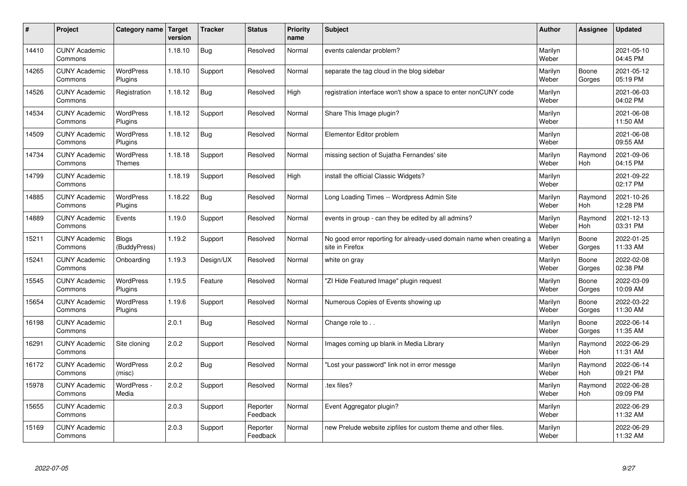| #     | Project                         | Category name   Target            | version | <b>Tracker</b> | <b>Status</b>        | <b>Priority</b><br>name | <b>Subject</b>                                                                          | <b>Author</b>    | Assignee              | <b>Updated</b>         |
|-------|---------------------------------|-----------------------------------|---------|----------------|----------------------|-------------------------|-----------------------------------------------------------------------------------------|------------------|-----------------------|------------------------|
| 14410 | <b>CUNY Academic</b><br>Commons |                                   | 1.18.10 | Bug            | Resolved             | Normal                  | events calendar problem?                                                                | Marilyn<br>Weber |                       | 2021-05-10<br>04:45 PM |
| 14265 | <b>CUNY Academic</b><br>Commons | <b>WordPress</b><br>Plugins       | 1.18.10 | Support        | Resolved             | Normal                  | separate the tag cloud in the blog sidebar                                              | Marilyn<br>Weber | Boone<br>Gorges       | 2021-05-12<br>05:19 PM |
| 14526 | <b>CUNY Academic</b><br>Commons | Registration                      | 1.18.12 | <b>Bug</b>     | Resolved             | High                    | registration interface won't show a space to enter nonCUNY code                         | Marilyn<br>Weber |                       | 2021-06-03<br>04:02 PM |
| 14534 | <b>CUNY Academic</b><br>Commons | <b>WordPress</b><br>Plugins       | 1.18.12 | Support        | Resolved             | Normal                  | Share This Image plugin?                                                                | Marilyn<br>Weber |                       | 2021-06-08<br>11:50 AM |
| 14509 | <b>CUNY Academic</b><br>Commons | <b>WordPress</b><br>Plugins       | 1.18.12 | <b>Bug</b>     | Resolved             | Normal                  | Elementor Editor problem                                                                | Marilyn<br>Weber |                       | 2021-06-08<br>09:55 AM |
| 14734 | <b>CUNY Academic</b><br>Commons | <b>WordPress</b><br><b>Themes</b> | 1.18.18 | Support        | Resolved             | Normal                  | missing section of Sujatha Fernandes' site                                              | Marilyn<br>Weber | Raymond<br>Hoh        | 2021-09-06<br>04:15 PM |
| 14799 | <b>CUNY Academic</b><br>Commons |                                   | 1.18.19 | Support        | Resolved             | High                    | install the official Classic Widgets?                                                   | Marilyn<br>Weber |                       | 2021-09-22<br>02:17 PM |
| 14885 | <b>CUNY Academic</b><br>Commons | <b>WordPress</b><br>Plugins       | 1.18.22 | Bug            | Resolved             | Normal                  | Long Loading Times -- Wordpress Admin Site                                              | Marilyn<br>Weber | Raymond<br>Hoh        | 2021-10-26<br>12:28 PM |
| 14889 | <b>CUNY Academic</b><br>Commons | Events                            | 1.19.0  | Support        | Resolved             | Normal                  | events in group - can they be edited by all admins?                                     | Marilyn<br>Weber | Raymond<br>Hoh        | 2021-12-13<br>03:31 PM |
| 15211 | <b>CUNY Academic</b><br>Commons | <b>Blogs</b><br>(BuddyPress)      | 1.19.2  | Support        | Resolved             | Normal                  | No good error reporting for already-used domain name when creating a<br>site in Firefox | Marilyn<br>Weber | Boone<br>Gorges       | 2022-01-25<br>11:33 AM |
| 15241 | <b>CUNY Academic</b><br>Commons | Onboarding                        | 1.19.3  | Design/UX      | Resolved             | Normal                  | white on gray                                                                           | Marilyn<br>Weber | Boone<br>Gorges       | 2022-02-08<br>02:38 PM |
| 15545 | <b>CUNY Academic</b><br>Commons | <b>WordPress</b><br>Plugins       | 1.19.5  | Feature        | Resolved             | Normal                  | 'ZI Hide Featured Image" plugin request                                                 | Marilyn<br>Weber | Boone<br>Gorges       | 2022-03-09<br>10:09 AM |
| 15654 | <b>CUNY Academic</b><br>Commons | <b>WordPress</b><br>Plugins       | 1.19.6  | Support        | Resolved             | Normal                  | Numerous Copies of Events showing up                                                    | Marilyn<br>Weber | Boone<br>Gorges       | 2022-03-22<br>11:30 AM |
| 16198 | <b>CUNY Academic</b><br>Commons |                                   | 2.0.1   | Bug            | Resolved             | Normal                  | Change role to                                                                          | Marilyn<br>Weber | Boone<br>Gorges       | 2022-06-14<br>11:35 AM |
| 16291 | <b>CUNY Academic</b><br>Commons | Site cloning                      | 2.0.2   | Support        | Resolved             | Normal                  | Images coming up blank in Media Library                                                 | Marilyn<br>Weber | Raymond<br>Hoh        | 2022-06-29<br>11:31 AM |
| 16172 | <b>CUNY Academic</b><br>Commons | WordPress<br>(misc)               | 2.0.2   | <b>Bug</b>     | Resolved             | Normal                  | 'Lost your password" link not in error messge                                           | Marilyn<br>Weber | Raymond<br>Hoh        | 2022-06-14<br>09:21 PM |
| 15978 | <b>CUNY Academic</b><br>Commons | WordPress -<br>Media              | 2.0.2   | Support        | Resolved             | Normal                  | .tex files?                                                                             | Marilyn<br>Weber | Raymond<br><b>Hoh</b> | 2022-06-28<br>09:09 PM |
| 15655 | <b>CUNY Academic</b><br>Commons |                                   | 2.0.3   | Support        | Reporter<br>Feedback | Normal                  | Event Aggregator plugin?                                                                | Marilyn<br>Weber |                       | 2022-06-29<br>11:32 AM |
| 15169 | <b>CUNY Academic</b><br>Commons |                                   | 2.0.3   | Support        | Reporter<br>Feedback | Normal                  | new Prelude website zipfiles for custom theme and other files.                          | Marilyn<br>Weber |                       | 2022-06-29<br>11:32 AM |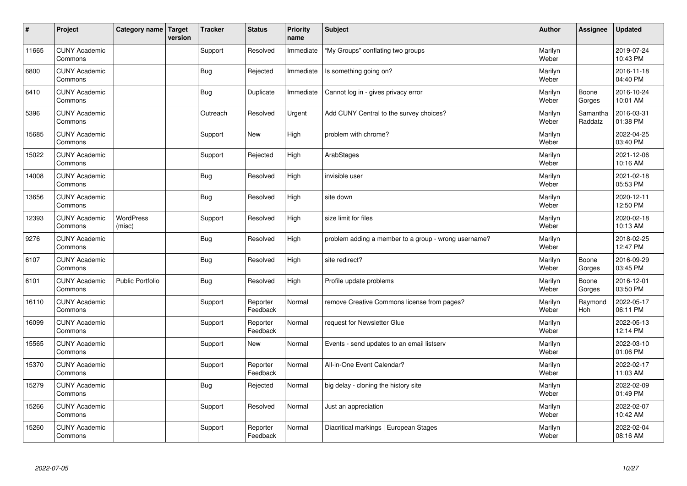| #     | Project                         | Category name   Target     | version | <b>Tracker</b> | <b>Status</b>        | <b>Priority</b><br>name | <b>Subject</b>                                       | <b>Author</b>    | Assignee            | <b>Updated</b>         |
|-------|---------------------------------|----------------------------|---------|----------------|----------------------|-------------------------|------------------------------------------------------|------------------|---------------------|------------------------|
| 11665 | <b>CUNY Academic</b><br>Commons |                            |         | Support        | Resolved             | Immediate               | "My Groups" conflating two groups                    | Marilyn<br>Weber |                     | 2019-07-24<br>10:43 PM |
| 6800  | <b>CUNY Academic</b><br>Commons |                            |         | Bug            | Rejected             | Immediate               | Is something going on?                               | Marilyn<br>Weber |                     | 2016-11-18<br>04:40 PM |
| 6410  | <b>CUNY Academic</b><br>Commons |                            |         | Bug            | Duplicate            | Immediate               | Cannot log in - gives privacy error                  | Marilyn<br>Weber | Boone<br>Gorges     | 2016-10-24<br>10:01 AM |
| 5396  | <b>CUNY Academic</b><br>Commons |                            |         | Outreach       | Resolved             | Urgent                  | Add CUNY Central to the survey choices?              | Marilyn<br>Weber | Samantha<br>Raddatz | 2016-03-31<br>01:38 PM |
| 15685 | <b>CUNY Academic</b><br>Commons |                            |         | Support        | <b>New</b>           | High                    | problem with chrome?                                 | Marilyn<br>Weber |                     | 2022-04-25<br>03:40 PM |
| 15022 | <b>CUNY Academic</b><br>Commons |                            |         | Support        | Rejected             | High                    | ArabStages                                           | Marilyn<br>Weber |                     | 2021-12-06<br>10:16 AM |
| 14008 | <b>CUNY Academic</b><br>Commons |                            |         | Bug            | Resolved             | High                    | invisible user                                       | Marilyn<br>Weber |                     | 2021-02-18<br>05:53 PM |
| 13656 | <b>CUNY Academic</b><br>Commons |                            |         | Bug            | Resolved             | High                    | site down                                            | Marilyn<br>Weber |                     | 2020-12-11<br>12:50 PM |
| 12393 | <b>CUNY Academic</b><br>Commons | <b>WordPress</b><br>(misc) |         | Support        | Resolved             | High                    | size limit for files                                 | Marilyn<br>Weber |                     | 2020-02-18<br>10:13 AM |
| 9276  | <b>CUNY Academic</b><br>Commons |                            |         | <b>Bug</b>     | Resolved             | High                    | problem adding a member to a group - wrong username? | Marilyn<br>Weber |                     | 2018-02-25<br>12:47 PM |
| 6107  | <b>CUNY Academic</b><br>Commons |                            |         | Bug            | Resolved             | High                    | site redirect?                                       | Marilyn<br>Weber | Boone<br>Gorges     | 2016-09-29<br>03:45 PM |
| 6101  | <b>CUNY Academic</b><br>Commons | Public Portfolio           |         | <b>Bug</b>     | Resolved             | High                    | Profile update problems                              | Marilyn<br>Weber | Boone<br>Gorges     | 2016-12-01<br>03:50 PM |
| 16110 | <b>CUNY Academic</b><br>Commons |                            |         | Support        | Reporter<br>Feedback | Normal                  | remove Creative Commons license from pages?          | Marilyn<br>Weber | Raymond<br>Hoh      | 2022-05-17<br>06:11 PM |
| 16099 | <b>CUNY Academic</b><br>Commons |                            |         | Support        | Reporter<br>Feedback | Normal                  | request for Newsletter Glue                          | Marilyn<br>Weber |                     | 2022-05-13<br>12:14 PM |
| 15565 | <b>CUNY Academic</b><br>Commons |                            |         | Support        | <b>New</b>           | Normal                  | Events - send updates to an email listserv           | Marilyn<br>Weber |                     | 2022-03-10<br>01:06 PM |
| 15370 | <b>CUNY Academic</b><br>Commons |                            |         | Support        | Reporter<br>Feedback | Normal                  | All-in-One Event Calendar?                           | Marilyn<br>Weber |                     | 2022-02-17<br>11:03 AM |
| 15279 | <b>CUNY Academic</b><br>Commons |                            |         | Bug            | Rejected             | Normal                  | big delay - cloning the history site                 | Marilyn<br>Weber |                     | 2022-02-09<br>01:49 PM |
| 15266 | <b>CUNY Academic</b><br>Commons |                            |         | Support        | Resolved             | Normal                  | Just an appreciation                                 | Marilyn<br>Weber |                     | 2022-02-07<br>10:42 AM |
| 15260 | <b>CUNY Academic</b><br>Commons |                            |         | Support        | Reporter<br>Feedback | Normal                  | Diacritical markings   European Stages               | Marilyn<br>Weber |                     | 2022-02-04<br>08:16 AM |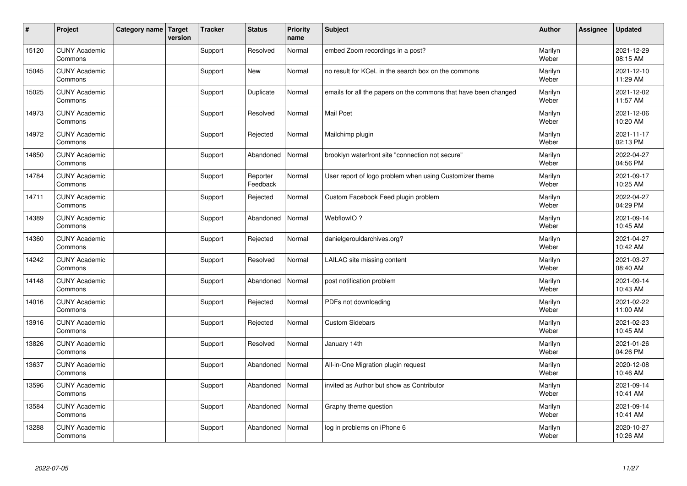| #     | Project                         | Category name   Target | version | <b>Tracker</b> | <b>Status</b>        | <b>Priority</b><br>name | <b>Subject</b>                                                  | <b>Author</b>    | <b>Assignee</b> | <b>Updated</b>         |
|-------|---------------------------------|------------------------|---------|----------------|----------------------|-------------------------|-----------------------------------------------------------------|------------------|-----------------|------------------------|
| 15120 | <b>CUNY Academic</b><br>Commons |                        |         | Support        | Resolved             | Normal                  | embed Zoom recordings in a post?                                | Marilyn<br>Weber |                 | 2021-12-29<br>08:15 AM |
| 15045 | <b>CUNY Academic</b><br>Commons |                        |         | Support        | New                  | Normal                  | no result for KCeL in the search box on the commons             | Marilyn<br>Weber |                 | 2021-12-10<br>11:29 AM |
| 15025 | <b>CUNY Academic</b><br>Commons |                        |         | Support        | Duplicate            | Normal                  | emails for all the papers on the commons that have been changed | Marilyn<br>Weber |                 | 2021-12-02<br>11:57 AM |
| 14973 | <b>CUNY Academic</b><br>Commons |                        |         | Support        | Resolved             | Normal                  | <b>Mail Poet</b>                                                | Marilyn<br>Weber |                 | 2021-12-06<br>10:20 AM |
| 14972 | <b>CUNY Academic</b><br>Commons |                        |         | Support        | Rejected             | Normal                  | Mailchimp plugin                                                | Marilyn<br>Weber |                 | 2021-11-17<br>02:13 PM |
| 14850 | <b>CUNY Academic</b><br>Commons |                        |         | Support        | Abandoned            | Normal                  | brooklyn waterfront site "connection not secure"                | Marilyn<br>Weber |                 | 2022-04-27<br>04:56 PM |
| 14784 | <b>CUNY Academic</b><br>Commons |                        |         | Support        | Reporter<br>Feedback | Normal                  | User report of logo problem when using Customizer theme         | Marilyn<br>Weber |                 | 2021-09-17<br>10:25 AM |
| 14711 | <b>CUNY Academic</b><br>Commons |                        |         | Support        | Rejected             | Normal                  | Custom Facebook Feed plugin problem                             | Marilyn<br>Weber |                 | 2022-04-27<br>04:29 PM |
| 14389 | <b>CUNY Academic</b><br>Commons |                        |         | Support        | Abandoned            | Normal                  | WebflowIO?                                                      | Marilyn<br>Weber |                 | 2021-09-14<br>10:45 AM |
| 14360 | <b>CUNY Academic</b><br>Commons |                        |         | Support        | Rejected             | Normal                  | danielgerouldarchives.org?                                      | Marilyn<br>Weber |                 | 2021-04-27<br>10:42 AM |
| 14242 | <b>CUNY Academic</b><br>Commons |                        |         | Support        | Resolved             | Normal                  | LAILAC site missing content                                     | Marilyn<br>Weber |                 | 2021-03-27<br>08:40 AM |
| 14148 | <b>CUNY Academic</b><br>Commons |                        |         | Support        | Abandoned            | Normal                  | post notification problem                                       | Marilyn<br>Weber |                 | 2021-09-14<br>10:43 AM |
| 14016 | <b>CUNY Academic</b><br>Commons |                        |         | Support        | Rejected             | Normal                  | PDFs not downloading                                            | Marilyn<br>Weber |                 | 2021-02-22<br>11:00 AM |
| 13916 | <b>CUNY Academic</b><br>Commons |                        |         | Support        | Rejected             | Normal                  | <b>Custom Sidebars</b>                                          | Marilyn<br>Weber |                 | 2021-02-23<br>10:45 AM |
| 13826 | <b>CUNY Academic</b><br>Commons |                        |         | Support        | Resolved             | Normal                  | January 14th                                                    | Marilyn<br>Weber |                 | 2021-01-26<br>04:26 PM |
| 13637 | <b>CUNY Academic</b><br>Commons |                        |         | Support        | Abandoned            | Normal                  | All-in-One Migration plugin request                             | Marilyn<br>Weber |                 | 2020-12-08<br>10:46 AM |
| 13596 | <b>CUNY Academic</b><br>Commons |                        |         | Support        | Abandoned            | Normal                  | invited as Author but show as Contributor                       | Marilyn<br>Weber |                 | 2021-09-14<br>10:41 AM |
| 13584 | <b>CUNY Academic</b><br>Commons |                        |         | Support        | Abandoned            | Normal                  | Graphy theme question                                           | Marilyn<br>Weber |                 | 2021-09-14<br>10:41 AM |
| 13288 | <b>CUNY Academic</b><br>Commons |                        |         | Support        | Abandoned            | Normal                  | log in problems on iPhone 6                                     | Marilyn<br>Weber |                 | 2020-10-27<br>10:26 AM |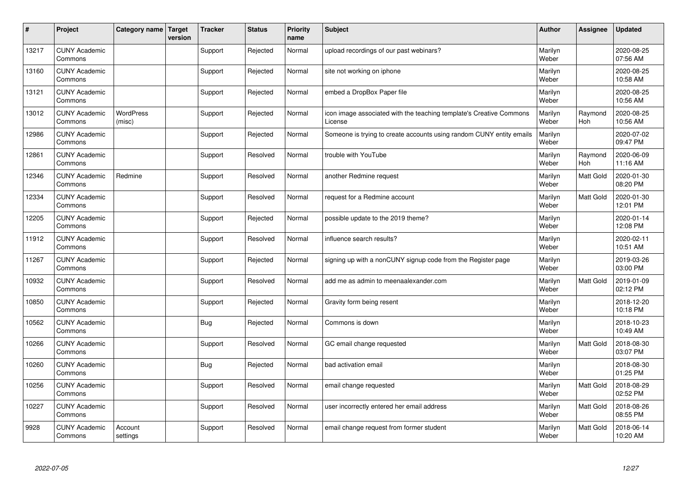| $\sharp$ | Project                         | Category name   Target     | version | <b>Tracker</b> | <b>Status</b> | <b>Priority</b><br>name | <b>Subject</b>                                                                 | <b>Author</b>    | <b>Assignee</b>  | <b>Updated</b>         |
|----------|---------------------------------|----------------------------|---------|----------------|---------------|-------------------------|--------------------------------------------------------------------------------|------------------|------------------|------------------------|
| 13217    | <b>CUNY Academic</b><br>Commons |                            |         | Support        | Rejected      | Normal                  | upload recordings of our past webinars?                                        | Marilyn<br>Weber |                  | 2020-08-25<br>07:56 AM |
| 13160    | <b>CUNY Academic</b><br>Commons |                            |         | Support        | Rejected      | Normal                  | site not working on iphone                                                     | Marilyn<br>Weber |                  | 2020-08-25<br>10:58 AM |
| 13121    | <b>CUNY Academic</b><br>Commons |                            |         | Support        | Rejected      | Normal                  | embed a DropBox Paper file                                                     | Marilyn<br>Weber |                  | 2020-08-25<br>10:56 AM |
| 13012    | <b>CUNY Academic</b><br>Commons | <b>WordPress</b><br>(misc) |         | Support        | Rejected      | Normal                  | icon image associated with the teaching template's Creative Commons<br>License | Marilyn<br>Weber | Raymond<br>Hoh   | 2020-08-25<br>10:56 AM |
| 12986    | <b>CUNY Academic</b><br>Commons |                            |         | Support        | Rejected      | Normal                  | Someone is trying to create accounts using random CUNY entity emails           | Marilyn<br>Weber |                  | 2020-07-02<br>09:47 PM |
| 12861    | <b>CUNY Academic</b><br>Commons |                            |         | Support        | Resolved      | Normal                  | trouble with YouTube                                                           | Marilyn<br>Weber | Raymond<br>Hoh   | 2020-06-09<br>11:16 AM |
| 12346    | <b>CUNY Academic</b><br>Commons | Redmine                    |         | Support        | Resolved      | Normal                  | another Redmine request                                                        | Marilyn<br>Weber | <b>Matt Gold</b> | 2020-01-30<br>08:20 PM |
| 12334    | <b>CUNY Academic</b><br>Commons |                            |         | Support        | Resolved      | Normal                  | request for a Redmine account                                                  | Marilyn<br>Weber | Matt Gold        | 2020-01-30<br>12:01 PM |
| 12205    | <b>CUNY Academic</b><br>Commons |                            |         | Support        | Rejected      | Normal                  | possible update to the 2019 theme?                                             | Marilyn<br>Weber |                  | 2020-01-14<br>12:08 PM |
| 11912    | <b>CUNY Academic</b><br>Commons |                            |         | Support        | Resolved      | Normal                  | influence search results?                                                      | Marilyn<br>Weber |                  | 2020-02-11<br>10:51 AM |
| 11267    | <b>CUNY Academic</b><br>Commons |                            |         | Support        | Rejected      | Normal                  | signing up with a nonCUNY signup code from the Register page                   | Marilyn<br>Weber |                  | 2019-03-26<br>03:00 PM |
| 10932    | <b>CUNY Academic</b><br>Commons |                            |         | Support        | Resolved      | Normal                  | add me as admin to meenaalexander.com                                          | Marilyn<br>Weber | Matt Gold        | 2019-01-09<br>02:12 PM |
| 10850    | <b>CUNY Academic</b><br>Commons |                            |         | Support        | Rejected      | Normal                  | Gravity form being resent                                                      | Marilyn<br>Weber |                  | 2018-12-20<br>10:18 PM |
| 10562    | <b>CUNY Academic</b><br>Commons |                            |         | Bug            | Rejected      | Normal                  | Commons is down                                                                | Marilyn<br>Weber |                  | 2018-10-23<br>10:49 AM |
| 10266    | <b>CUNY Academic</b><br>Commons |                            |         | Support        | Resolved      | Normal                  | GC email change requested                                                      | Marilyn<br>Weber | Matt Gold        | 2018-08-30<br>03:07 PM |
| 10260    | <b>CUNY Academic</b><br>Commons |                            |         | Bug            | Rejected      | Normal                  | bad activation email                                                           | Marilyn<br>Weber |                  | 2018-08-30<br>01:25 PM |
| 10256    | <b>CUNY Academic</b><br>Commons |                            |         | Support        | Resolved      | Normal                  | email change requested                                                         | Marilyn<br>Weber | <b>Matt Gold</b> | 2018-08-29<br>02:52 PM |
| 10227    | <b>CUNY Academic</b><br>Commons |                            |         | Support        | Resolved      | Normal                  | user incorrectly entered her email address                                     | Marilyn<br>Weber | Matt Gold        | 2018-08-26<br>08:55 PM |
| 9928     | <b>CUNY Academic</b><br>Commons | Account<br>settings        |         | Support        | Resolved      | Normal                  | email change request from former student                                       | Marilyn<br>Weber | <b>Matt Gold</b> | 2018-06-14<br>10:20 AM |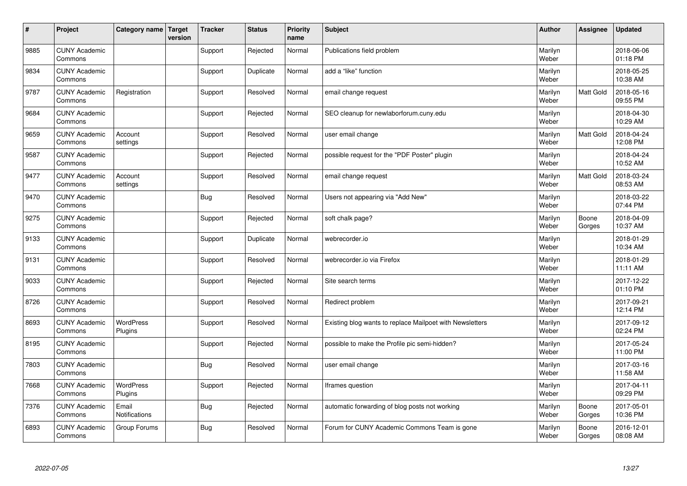| #    | Project                         | Category name   Target | version | <b>Tracker</b> | <b>Status</b> | <b>Priority</b><br>name | <b>Subject</b>                                           | <b>Author</b>    | <b>Assignee</b>  | <b>Updated</b>         |
|------|---------------------------------|------------------------|---------|----------------|---------------|-------------------------|----------------------------------------------------------|------------------|------------------|------------------------|
| 9885 | <b>CUNY Academic</b><br>Commons |                        |         | Support        | Rejected      | Normal                  | Publications field problem                               | Marilyn<br>Weber |                  | 2018-06-06<br>01:18 PM |
| 9834 | <b>CUNY Academic</b><br>Commons |                        |         | Support        | Duplicate     | Normal                  | add a "like" function                                    | Marilyn<br>Weber |                  | 2018-05-25<br>10:38 AM |
| 9787 | <b>CUNY Academic</b><br>Commons | Registration           |         | Support        | Resolved      | Normal                  | email change request                                     | Marilyn<br>Weber | Matt Gold        | 2018-05-16<br>09:55 PM |
| 9684 | <b>CUNY Academic</b><br>Commons |                        |         | Support        | Rejected      | Normal                  | SEO cleanup for newlaborforum.cuny.edu                   | Marilyn<br>Weber |                  | 2018-04-30<br>10:29 AM |
| 9659 | <b>CUNY Academic</b><br>Commons | Account<br>settings    |         | Support        | Resolved      | Normal                  | user email change                                        | Marilyn<br>Weber | <b>Matt Gold</b> | 2018-04-24<br>12:08 PM |
| 9587 | <b>CUNY Academic</b><br>Commons |                        |         | Support        | Rejected      | Normal                  | possible request for the "PDF Poster" plugin             | Marilyn<br>Weber |                  | 2018-04-24<br>10:52 AM |
| 9477 | <b>CUNY Academic</b><br>Commons | Account<br>settings    |         | Support        | Resolved      | Normal                  | email change request                                     | Marilyn<br>Weber | Matt Gold        | 2018-03-24<br>08:53 AM |
| 9470 | <b>CUNY Academic</b><br>Commons |                        |         | <b>Bug</b>     | Resolved      | Normal                  | Users not appearing via "Add New"                        | Marilyn<br>Weber |                  | 2018-03-22<br>07:44 PM |
| 9275 | <b>CUNY Academic</b><br>Commons |                        |         | Support        | Rejected      | Normal                  | soft chalk page?                                         | Marilyn<br>Weber | Boone<br>Gorges  | 2018-04-09<br>10:37 AM |
| 9133 | <b>CUNY Academic</b><br>Commons |                        |         | Support        | Duplicate     | Normal                  | webrecorder.io                                           | Marilyn<br>Weber |                  | 2018-01-29<br>10:34 AM |
| 9131 | <b>CUNY Academic</b><br>Commons |                        |         | Support        | Resolved      | Normal                  | webrecorder.io via Firefox                               | Marilyn<br>Weber |                  | 2018-01-29<br>11:11 AM |
| 9033 | <b>CUNY Academic</b><br>Commons |                        |         | Support        | Rejected      | Normal                  | Site search terms                                        | Marilyn<br>Weber |                  | 2017-12-22<br>01:10 PM |
| 8726 | <b>CUNY Academic</b><br>Commons |                        |         | Support        | Resolved      | Normal                  | Redirect problem                                         | Marilyn<br>Weber |                  | 2017-09-21<br>12:14 PM |
| 8693 | <b>CUNY Academic</b><br>Commons | WordPress<br>Plugins   |         | Support        | Resolved      | Normal                  | Existing blog wants to replace Mailpoet with Newsletters | Marilyn<br>Weber |                  | 2017-09-12<br>02:24 PM |
| 8195 | <b>CUNY Academic</b><br>Commons |                        |         | Support        | Rejected      | Normal                  | possible to make the Profile pic semi-hidden?            | Marilyn<br>Weber |                  | 2017-05-24<br>11:00 PM |
| 7803 | <b>CUNY Academic</b><br>Commons |                        |         | Bug            | Resolved      | Normal                  | user email change                                        | Marilyn<br>Weber |                  | 2017-03-16<br>11:58 AM |
| 7668 | <b>CUNY Academic</b><br>Commons | WordPress<br>Plugins   |         | Support        | Rejected      | Normal                  | Iframes question                                         | Marilyn<br>Weber |                  | 2017-04-11<br>09:29 PM |
| 7376 | <b>CUNY Academic</b><br>Commons | Email<br>Notifications |         | Bug            | Rejected      | Normal                  | automatic forwarding of blog posts not working           | Marilyn<br>Weber | Boone<br>Gorges  | 2017-05-01<br>10:36 PM |
| 6893 | <b>CUNY Academic</b><br>Commons | Group Forums           |         | Bug            | Resolved      | Normal                  | Forum for CUNY Academic Commons Team is gone             | Marilyn<br>Weber | Boone<br>Gorges  | 2016-12-01<br>08:08 AM |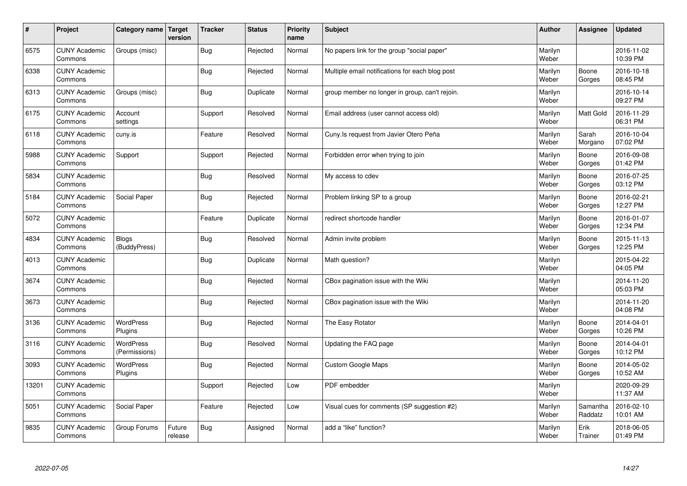| $\sharp$ | Project                         | Category name   Target            | version           | <b>Tracker</b> | <b>Status</b> | <b>Priority</b><br>name | <b>Subject</b>                                  | <b>Author</b>    | <b>Assignee</b>     | <b>Updated</b>         |
|----------|---------------------------------|-----------------------------------|-------------------|----------------|---------------|-------------------------|-------------------------------------------------|------------------|---------------------|------------------------|
| 6575     | <b>CUNY Academic</b><br>Commons | Groups (misc)                     |                   | Bug            | Rejected      | Normal                  | No papers link for the group "social paper"     | Marilyn<br>Weber |                     | 2016-11-02<br>10:39 PM |
| 6338     | <b>CUNY Academic</b><br>Commons |                                   |                   | Bug            | Rejected      | Normal                  | Multiple email notifications for each blog post | Marilyn<br>Weber | Boone<br>Gorges     | 2016-10-18<br>08:45 PM |
| 6313     | <b>CUNY Academic</b><br>Commons | Groups (misc)                     |                   | Bug            | Duplicate     | Normal                  | group member no longer in group, can't rejoin.  | Marilyn<br>Weber |                     | 2016-10-14<br>09:27 PM |
| 6175     | <b>CUNY Academic</b><br>Commons | Account<br>settings               |                   | Support        | Resolved      | Normal                  | Email address (user cannot access old)          | Marilyn<br>Weber | Matt Gold           | 2016-11-29<br>06:31 PM |
| 6118     | <b>CUNY Academic</b><br>Commons | cuny.is                           |                   | Feature        | Resolved      | Normal                  | Cuny. Is request from Javier Otero Peña         | Marilyn<br>Weber | Sarah<br>Morgano    | 2016-10-04<br>07:02 PM |
| 5988     | <b>CUNY Academic</b><br>Commons | Support                           |                   | Support        | Rejected      | Normal                  | Forbidden error when trying to join             | Marilyn<br>Weber | Boone<br>Gorges     | 2016-09-08<br>01:42 PM |
| 5834     | <b>CUNY Academic</b><br>Commons |                                   |                   | Bug            | Resolved      | Normal                  | My access to cdev                               | Marilyn<br>Weber | Boone<br>Gorges     | 2016-07-25<br>03:12 PM |
| 5184     | <b>CUNY Academic</b><br>Commons | Social Paper                      |                   | Bug            | Rejected      | Normal                  | Problem linking SP to a group                   | Marilyn<br>Weber | Boone<br>Gorges     | 2016-02-21<br>12:27 PM |
| 5072     | <b>CUNY Academic</b><br>Commons |                                   |                   | Feature        | Duplicate     | Normal                  | redirect shortcode handler                      | Marilyn<br>Weber | Boone<br>Gorges     | 2016-01-07<br>12:34 PM |
| 4834     | <b>CUNY Academic</b><br>Commons | <b>Blogs</b><br>(BuddyPress)      |                   | <b>Bug</b>     | Resolved      | Normal                  | Admin invite problem                            | Marilyn<br>Weber | Boone<br>Gorges     | 2015-11-13<br>12:25 PM |
| 4013     | <b>CUNY Academic</b><br>Commons |                                   |                   | Bug            | Duplicate     | Normal                  | Math question?                                  | Marilyn<br>Weber |                     | 2015-04-22<br>04:05 PM |
| 3674     | <b>CUNY Academic</b><br>Commons |                                   |                   | <b>Bug</b>     | Rejected      | Normal                  | CBox pagination issue with the Wiki             | Marilyn<br>Weber |                     | 2014-11-20<br>05:03 PM |
| 3673     | <b>CUNY Academic</b><br>Commons |                                   |                   | Bug            | Rejected      | Normal                  | CBox pagination issue with the Wiki             | Marilyn<br>Weber |                     | 2014-11-20<br>04:08 PM |
| 3136     | <b>CUNY Academic</b><br>Commons | WordPress<br>Plugins              |                   | Bug            | Rejected      | Normal                  | The Easy Rotator                                | Marilyn<br>Weber | Boone<br>Gorges     | 2014-04-01<br>10:26 PM |
| 3116     | <b>CUNY Academic</b><br>Commons | <b>WordPress</b><br>(Permissions) |                   | <b>Bug</b>     | Resolved      | Normal                  | Updating the FAQ page                           | Marilyn<br>Weber | Boone<br>Gorges     | 2014-04-01<br>10:12 PM |
| 3093     | <b>CUNY Academic</b><br>Commons | <b>WordPress</b><br>Plugins       |                   | Bug            | Rejected      | Normal                  | <b>Custom Google Maps</b>                       | Marilyn<br>Weber | Boone<br>Gorges     | 2014-05-02<br>10:52 AM |
| 13201    | <b>CUNY Academic</b><br>Commons |                                   |                   | Support        | Rejected      | Low                     | PDF embedder                                    | Marilyn<br>Weber |                     | 2020-09-29<br>11:37 AM |
| 5051     | <b>CUNY Academic</b><br>Commons | Social Paper                      |                   | Feature        | Rejected      | Low                     | Visual cues for comments (SP suggestion #2)     | Marilyn<br>Weber | Samantha<br>Raddatz | 2016-02-10<br>10:01 AM |
| 9835     | <b>CUNY Academic</b><br>Commons | Group Forums                      | Future<br>release | Bug            | Assigned      | Normal                  | add a "like" function?                          | Marilyn<br>Weber | Erik<br>Trainer     | 2018-06-05<br>01:49 PM |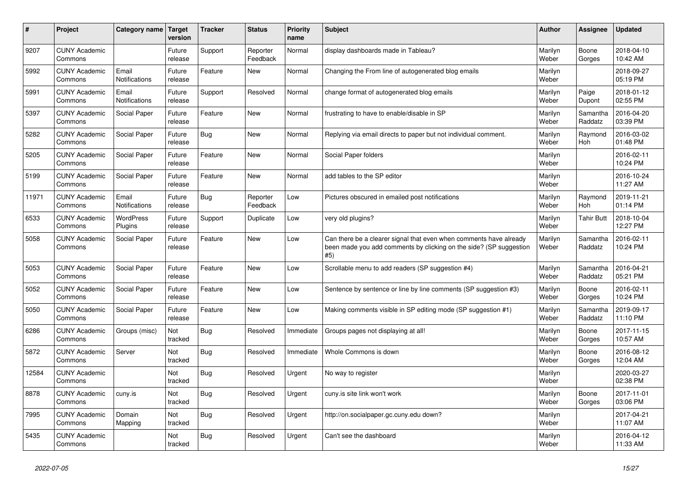| #     | Project                         | Category name                 | <b>Target</b><br>version | <b>Tracker</b> | <b>Status</b>        | <b>Priority</b><br>name | <b>Subject</b>                                                                                                                                  | <b>Author</b>    | Assignee            | <b>Updated</b>         |
|-------|---------------------------------|-------------------------------|--------------------------|----------------|----------------------|-------------------------|-------------------------------------------------------------------------------------------------------------------------------------------------|------------------|---------------------|------------------------|
| 9207  | <b>CUNY Academic</b><br>Commons |                               | Future<br>release        | Support        | Reporter<br>Feedback | Normal                  | display dashboards made in Tableau?                                                                                                             | Marilyn<br>Weber | Boone<br>Gorges     | 2018-04-10<br>10:42 AM |
| 5992  | <b>CUNY Academic</b><br>Commons | Email<br><b>Notifications</b> | Future<br>release        | Feature        | <b>New</b>           | Normal                  | Changing the From line of autogenerated blog emails                                                                                             | Marilyn<br>Weber |                     | 2018-09-27<br>05:19 PM |
| 5991  | <b>CUNY Academic</b><br>Commons | Email<br>Notifications        | Future<br>release        | Support        | Resolved             | Normal                  | change format of autogenerated blog emails                                                                                                      | Marilyn<br>Weber | Paige<br>Dupont     | 2018-01-12<br>02:55 PM |
| 5397  | <b>CUNY Academic</b><br>Commons | Social Paper                  | Future<br>release        | Feature        | <b>New</b>           | Normal                  | frustrating to have to enable/disable in SP                                                                                                     | Marilyn<br>Weber | Samantha<br>Raddatz | 2016-04-20<br>03:39 PM |
| 5282  | <b>CUNY Academic</b><br>Commons | Social Paper                  | Future<br>release        | <b>Bug</b>     | <b>New</b>           | Normal                  | Replying via email directs to paper but not individual comment.                                                                                 | Marilyn<br>Weber | Raymond<br>Hoh      | 2016-03-02<br>01:48 PM |
| 5205  | <b>CUNY Academic</b><br>Commons | Social Paper                  | Future<br>release        | Feature        | <b>New</b>           | Normal                  | Social Paper folders                                                                                                                            | Marilyn<br>Weber |                     | 2016-02-11<br>10:24 PM |
| 5199  | <b>CUNY Academic</b><br>Commons | Social Paper                  | Future<br>release        | Feature        | <b>New</b>           | Normal                  | add tables to the SP editor                                                                                                                     | Marilyn<br>Weber |                     | 2016-10-24<br>11:27 AM |
| 11971 | <b>CUNY Academic</b><br>Commons | Email<br><b>Notifications</b> | Future<br>release        | <b>Bug</b>     | Reporter<br>Feedback | Low                     | Pictures obscured in emailed post notifications                                                                                                 | Marilyn<br>Weber | Raymond<br>Hoh      | 2019-11-21<br>01:14 PM |
| 6533  | <b>CUNY Academic</b><br>Commons | <b>WordPress</b><br>Plugins   | Future<br>release        | Support        | Duplicate            | Low                     | very old plugins?                                                                                                                               | Marilyn<br>Weber | Tahir Butt          | 2018-10-04<br>12:27 PM |
| 5058  | <b>CUNY Academic</b><br>Commons | Social Paper                  | Future<br>release        | Feature        | <b>New</b>           | Low                     | Can there be a clearer signal that even when comments have already<br>been made you add comments by clicking on the side? (SP suggestion<br>#5) | Marilyn<br>Weber | Samantha<br>Raddatz | 2016-02-11<br>10:24 PM |
| 5053  | <b>CUNY Academic</b><br>Commons | Social Paper                  | Future<br>release        | Feature        | <b>New</b>           | Low                     | Scrollable menu to add readers (SP suggestion #4)                                                                                               | Marilyn<br>Weber | Samantha<br>Raddatz | 2016-04-21<br>05:21 PM |
| 5052  | <b>CUNY Academic</b><br>Commons | Social Paper                  | Future<br>release        | Feature        | <b>New</b>           | Low                     | Sentence by sentence or line by line comments (SP suggestion #3)                                                                                | Marilyn<br>Weber | Boone<br>Gorges     | 2016-02-11<br>10:24 PM |
| 5050  | <b>CUNY Academic</b><br>Commons | Social Paper                  | Future<br>release        | Feature        | <b>New</b>           | Low                     | Making comments visible in SP editing mode (SP suggestion #1)                                                                                   | Marilyn<br>Weber | Samantha<br>Raddatz | 2019-09-17<br>11:10 PM |
| 6286  | <b>CUNY Academic</b><br>Commons | Groups (misc)                 | Not<br>tracked           | <b>Bug</b>     | Resolved             | Immediate               | Groups pages not displaying at all!                                                                                                             | Marilyn<br>Weber | Boone<br>Gorges     | 2017-11-15<br>10:57 AM |
| 5872  | <b>CUNY Academic</b><br>Commons | Server                        | Not<br>tracked           | <b>Bug</b>     | Resolved             | Immediate               | Whole Commons is down                                                                                                                           | Marilyn<br>Weber | Boone<br>Gorges     | 2016-08-12<br>12:04 AM |
| 12584 | <b>CUNY Academic</b><br>Commons |                               | Not<br>tracked           | <b>Bug</b>     | Resolved             | Urgent                  | No way to register                                                                                                                              | Marilyn<br>Weber |                     | 2020-03-27<br>02:38 PM |
| 8878  | <b>CUNY Academic</b><br>Commons | cuny.is                       | Not<br>tracked           | <b>Bug</b>     | Resolved             | Urgent                  | cuny is site link won't work                                                                                                                    | Marilyn<br>Weber | Boone<br>Gorges     | 2017-11-01<br>03:06 PM |
| 7995  | <b>CUNY Academic</b><br>Commons | Domain<br>Mapping             | Not<br>tracked           | Bug            | Resolved             | Urgent                  | http://on.socialpaper.gc.cuny.edu down?                                                                                                         | Marilyn<br>Weber |                     | 2017-04-21<br>11:07 AM |
| 5435  | <b>CUNY Academic</b><br>Commons |                               | Not<br>tracked           | Bug            | Resolved             | Urgent                  | Can't see the dashboard                                                                                                                         | Marilyn<br>Weber |                     | 2016-04-12<br>11:33 AM |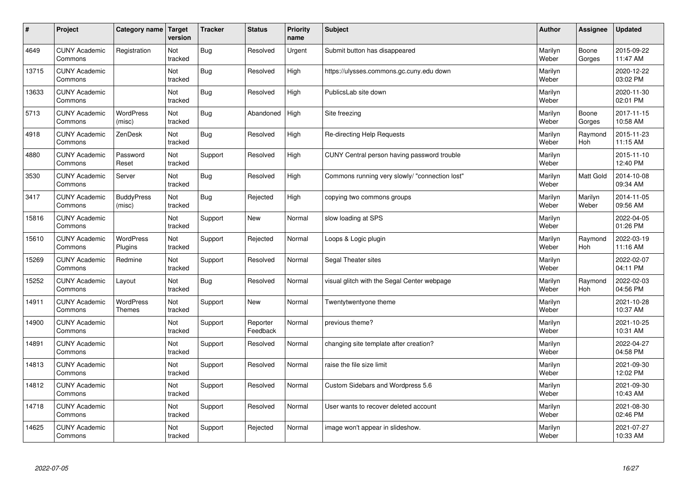| #     | Project                         | Category name   Target            | version        | <b>Tracker</b> | <b>Status</b>        | <b>Priority</b><br>name | <b>Subject</b>                                 | <b>Author</b>    | Assignee         | Updated                |
|-------|---------------------------------|-----------------------------------|----------------|----------------|----------------------|-------------------------|------------------------------------------------|------------------|------------------|------------------------|
| 4649  | <b>CUNY Academic</b><br>Commons | Registration                      | Not<br>tracked | Bug            | Resolved             | Urgent                  | Submit button has disappeared                  | Marilyn<br>Weber | Boone<br>Gorges  | 2015-09-22<br>11:47 AM |
| 13715 | <b>CUNY Academic</b><br>Commons |                                   | Not<br>tracked | Bug            | Resolved             | High                    | https://ulysses.commons.gc.cuny.edu down       | Marilyn<br>Weber |                  | 2020-12-22<br>03:02 PM |
| 13633 | <b>CUNY Academic</b><br>Commons |                                   | Not<br>tracked | Bug            | Resolved             | High                    | PublicsLab site down                           | Marilyn<br>Weber |                  | 2020-11-30<br>02:01 PM |
| 5713  | <b>CUNY Academic</b><br>Commons | <b>WordPress</b><br>(misc)        | Not<br>tracked | Bug            | Abandoned            | High                    | Site freezing                                  | Marilyn<br>Weber | Boone<br>Gorges  | 2017-11-15<br>10:58 AM |
| 4918  | <b>CUNY Academic</b><br>Commons | ZenDesk                           | Not<br>tracked | Bug            | Resolved             | High                    | Re-directing Help Requests                     | Marilyn<br>Weber | Raymond<br>Hoh   | 2015-11-23<br>11:15 AM |
| 4880  | <b>CUNY Academic</b><br>Commons | Password<br>Reset                 | Not<br>tracked | Support        | Resolved             | High                    | CUNY Central person having password trouble    | Marilyn<br>Weber |                  | 2015-11-10<br>12:40 PM |
| 3530  | <b>CUNY Academic</b><br>Commons | Server                            | Not<br>tracked | Bug            | Resolved             | High                    | Commons running very slowly/ "connection lost" | Marilyn<br>Weber | Matt Gold        | 2014-10-08<br>09:34 AM |
| 3417  | <b>CUNY Academic</b><br>Commons | <b>BuddyPress</b><br>(misc)       | Not<br>tracked | Bug            | Rejected             | High                    | copying two commons groups                     | Marilyn<br>Weber | Marilyn<br>Weber | 2014-11-05<br>09:56 AM |
| 15816 | <b>CUNY Academic</b><br>Commons |                                   | Not<br>tracked | Support        | New                  | Normal                  | slow loading at SPS                            | Marilyn<br>Weber |                  | 2022-04-05<br>01:26 PM |
| 15610 | <b>CUNY Academic</b><br>Commons | WordPress<br>Plugins              | Not<br>tracked | Support        | Rejected             | Normal                  | Loops & Logic plugin                           | Marilyn<br>Weber | Raymond<br>Hoh   | 2022-03-19<br>11:16 AM |
| 15269 | <b>CUNY Academic</b><br>Commons | Redmine                           | Not<br>tracked | Support        | Resolved             | Normal                  | Segal Theater sites                            | Marilyn<br>Weber |                  | 2022-02-07<br>04:11 PM |
| 15252 | <b>CUNY Academic</b><br>Commons | Layout                            | Not<br>tracked | <b>Bug</b>     | Resolved             | Normal                  | visual glitch with the Segal Center webpage    | Marilyn<br>Weber | Raymond<br>Hoh   | 2022-02-03<br>04:56 PM |
| 14911 | <b>CUNY Academic</b><br>Commons | <b>WordPress</b><br><b>Themes</b> | Not<br>tracked | Support        | New                  | Normal                  | Twentytwentyone theme                          | Marilyn<br>Weber |                  | 2021-10-28<br>10:37 AM |
| 14900 | <b>CUNY Academic</b><br>Commons |                                   | Not<br>tracked | Support        | Reporter<br>Feedback | Normal                  | previous theme?                                | Marilyn<br>Weber |                  | 2021-10-25<br>10:31 AM |
| 14891 | <b>CUNY Academic</b><br>Commons |                                   | Not<br>tracked | Support        | Resolved             | Normal                  | changing site template after creation?         | Marilyn<br>Weber |                  | 2022-04-27<br>04:58 PM |
| 14813 | <b>CUNY Academic</b><br>Commons |                                   | Not<br>tracked | Support        | Resolved             | Normal                  | raise the file size limit                      | Marilyn<br>Weber |                  | 2021-09-30<br>12:02 PM |
| 14812 | <b>CUNY Academic</b><br>Commons |                                   | Not<br>tracked | Support        | Resolved             | Normal                  | Custom Sidebars and Wordpress 5.6              | Marilyn<br>Weber |                  | 2021-09-30<br>10:43 AM |
| 14718 | <b>CUNY Academic</b><br>Commons |                                   | Not<br>tracked | Support        | Resolved             | Normal                  | User wants to recover deleted account          | Marilyn<br>Weber |                  | 2021-08-30<br>02:46 PM |
| 14625 | <b>CUNY Academic</b><br>Commons |                                   | Not<br>tracked | Support        | Rejected             | Normal                  | image won't appear in slideshow.               | Marilyn<br>Weber |                  | 2021-07-27<br>10:33 AM |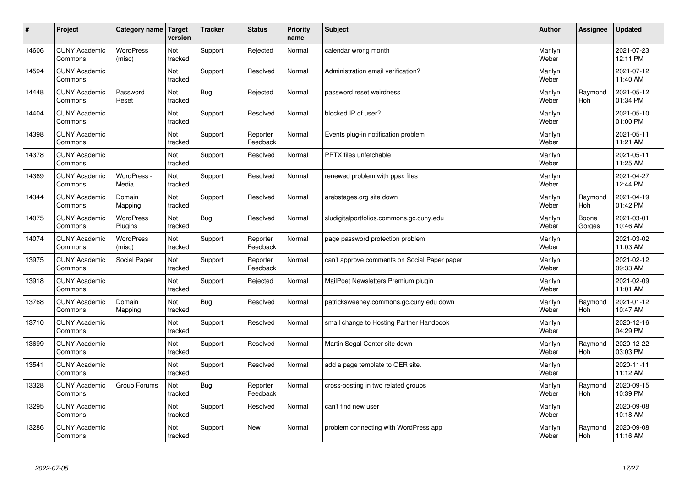| #     | Project                         | Category name               | Target<br>version | <b>Tracker</b> | <b>Status</b>        | <b>Priority</b><br>name | <b>Subject</b>                               | <b>Author</b>    | Assignee              | Updated                |
|-------|---------------------------------|-----------------------------|-------------------|----------------|----------------------|-------------------------|----------------------------------------------|------------------|-----------------------|------------------------|
| 14606 | <b>CUNY Academic</b><br>Commons | <b>WordPress</b><br>(misc)  | Not<br>tracked    | Support        | Rejected             | Normal                  | calendar wrong month                         | Marilyn<br>Weber |                       | 2021-07-23<br>12:11 PM |
| 14594 | <b>CUNY Academic</b><br>Commons |                             | Not<br>tracked    | Support        | Resolved             | Normal                  | Administration email verification?           | Marilyn<br>Weber |                       | 2021-07-12<br>11:40 AM |
| 14448 | <b>CUNY Academic</b><br>Commons | Password<br>Reset           | Not<br>tracked    | Bug            | Rejected             | Normal                  | password reset weirdness                     | Marilyn<br>Weber | Raymond<br><b>Hoh</b> | 2021-05-12<br>01:34 PM |
| 14404 | <b>CUNY Academic</b><br>Commons |                             | Not<br>tracked    | Support        | Resolved             | Normal                  | blocked IP of user?                          | Marilyn<br>Weber |                       | 2021-05-10<br>01:00 PM |
| 14398 | <b>CUNY Academic</b><br>Commons |                             | Not<br>tracked    | Support        | Reporter<br>Feedback | Normal                  | Events plug-in notification problem          | Marilyn<br>Weber |                       | 2021-05-11<br>11:21 AM |
| 14378 | <b>CUNY Academic</b><br>Commons |                             | Not<br>tracked    | Support        | Resolved             | Normal                  | <b>PPTX</b> files unfetchable                | Marilyn<br>Weber |                       | 2021-05-11<br>11:25 AM |
| 14369 | <b>CUNY Academic</b><br>Commons | WordPress -<br>Media        | Not<br>tracked    | Support        | Resolved             | Normal                  | renewed problem with ppsx files              | Marilyn<br>Weber |                       | 2021-04-27<br>12:44 PM |
| 14344 | <b>CUNY Academic</b><br>Commons | Domain<br>Mapping           | Not<br>tracked    | Support        | Resolved             | Normal                  | arabstages.org site down                     | Marilyn<br>Weber | Raymond<br>Hoh        | 2021-04-19<br>01:42 PM |
| 14075 | <b>CUNY Academic</b><br>Commons | <b>WordPress</b><br>Plugins | Not<br>tracked    | Bug            | Resolved             | Normal                  | sludigitalportfolios.commons.gc.cuny.edu     | Marilyn<br>Weber | Boone<br>Gorges       | 2021-03-01<br>10:46 AM |
| 14074 | <b>CUNY Academic</b><br>Commons | WordPress<br>(misc)         | Not<br>tracked    | Support        | Reporter<br>Feedback | Normal                  | page password protection problem             | Marilyn<br>Weber |                       | 2021-03-02<br>11:03 AM |
| 13975 | <b>CUNY Academic</b><br>Commons | Social Paper                | Not<br>tracked    | Support        | Reporter<br>Feedback | Normal                  | can't approve comments on Social Paper paper | Marilyn<br>Weber |                       | 2021-02-12<br>09:33 AM |
| 13918 | <b>CUNY Academic</b><br>Commons |                             | Not<br>tracked    | Support        | Rejected             | Normal                  | MailPoet Newsletters Premium plugin          | Marilyn<br>Weber |                       | 2021-02-09<br>11:01 AM |
| 13768 | <b>CUNY Academic</b><br>Commons | Domain<br>Mapping           | Not<br>tracked    | Bug            | Resolved             | Normal                  | patricksweeney.commons.gc.cuny.edu down      | Marilyn<br>Weber | Raymond<br>Hoh        | 2021-01-12<br>10:47 AM |
| 13710 | <b>CUNY Academic</b><br>Commons |                             | Not<br>tracked    | Support        | Resolved             | Normal                  | small change to Hosting Partner Handbook     | Marilyn<br>Weber |                       | 2020-12-16<br>04:29 PM |
| 13699 | <b>CUNY Academic</b><br>Commons |                             | Not<br>tracked    | Support        | Resolved             | Normal                  | Martin Segal Center site down                | Marilyn<br>Weber | Raymond<br><b>Hoh</b> | 2020-12-22<br>03:03 PM |
| 13541 | <b>CUNY Academic</b><br>Commons |                             | Not<br>tracked    | Support        | Resolved             | Normal                  | add a page template to OER site.             | Marilyn<br>Weber |                       | 2020-11-11<br>11:12 AM |
| 13328 | <b>CUNY Academic</b><br>Commons | Group Forums                | Not<br>tracked    | Bug            | Reporter<br>Feedback | Normal                  | cross-posting in two related groups          | Marilyn<br>Weber | Raymond<br>Hoh        | 2020-09-15<br>10:39 PM |
| 13295 | <b>CUNY Academic</b><br>Commons |                             | Not<br>tracked    | Support        | Resolved             | Normal                  | can't find new user                          | Marilyn<br>Weber |                       | 2020-09-08<br>10:18 AM |
| 13286 | <b>CUNY Academic</b><br>Commons |                             | Not<br>tracked    | Support        | <b>New</b>           | Normal                  | problem connecting with WordPress app        | Marilyn<br>Weber | Raymond<br>Hoh        | 2020-09-08<br>11:16 AM |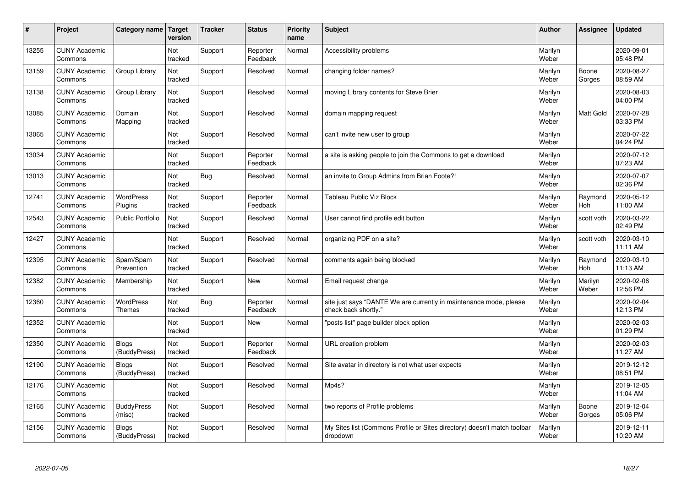| #     | Project                         | Category name   Target            | version        | <b>Tracker</b> | <b>Status</b>        | <b>Priority</b><br>name | <b>Subject</b>                                                                             | <b>Author</b>    | Assignee              | Updated                |
|-------|---------------------------------|-----------------------------------|----------------|----------------|----------------------|-------------------------|--------------------------------------------------------------------------------------------|------------------|-----------------------|------------------------|
| 13255 | <b>CUNY Academic</b><br>Commons |                                   | Not<br>tracked | Support        | Reporter<br>Feedback | Normal                  | Accessibility problems                                                                     | Marilyn<br>Weber |                       | 2020-09-01<br>05:48 PM |
| 13159 | <b>CUNY Academic</b><br>Commons | Group Library                     | Not<br>tracked | Support        | Resolved             | Normal                  | changing folder names?                                                                     | Marilyn<br>Weber | Boone<br>Gorges       | 2020-08-27<br>08:59 AM |
| 13138 | <b>CUNY Academic</b><br>Commons | Group Library                     | Not<br>tracked | Support        | Resolved             | Normal                  | moving Library contents for Steve Brier                                                    | Marilyn<br>Weber |                       | 2020-08-03<br>04:00 PM |
| 13085 | <b>CUNY Academic</b><br>Commons | Domain<br>Mapping                 | Not<br>tracked | Support        | Resolved             | Normal                  | domain mapping request                                                                     | Marilyn<br>Weber | Matt Gold             | 2020-07-28<br>03:33 PM |
| 13065 | <b>CUNY Academic</b><br>Commons |                                   | Not<br>tracked | Support        | Resolved             | Normal                  | can't invite new user to group                                                             | Marilyn<br>Weber |                       | 2020-07-22<br>04:24 PM |
| 13034 | <b>CUNY Academic</b><br>Commons |                                   | Not<br>tracked | Support        | Reporter<br>Feedback | Normal                  | a site is asking people to join the Commons to get a download                              | Marilyn<br>Weber |                       | 2020-07-12<br>07:23 AM |
| 13013 | <b>CUNY Academic</b><br>Commons |                                   | Not<br>tracked | Bug            | Resolved             | Normal                  | an invite to Group Admins from Brian Foote?!                                               | Marilyn<br>Weber |                       | 2020-07-07<br>02:36 PM |
| 12741 | <b>CUNY Academic</b><br>Commons | WordPress<br>Plugins              | Not<br>tracked | Support        | Reporter<br>Feedback | Normal                  | <b>Tableau Public Viz Block</b>                                                            | Marilyn<br>Weber | Raymond<br><b>Hoh</b> | 2020-05-12<br>11:00 AM |
| 12543 | <b>CUNY Academic</b><br>Commons | Public Portfolio                  | Not<br>tracked | Support        | Resolved             | Normal                  | User cannot find profile edit button                                                       | Marilyn<br>Weber | scott voth            | 2020-03-22<br>02:49 PM |
| 12427 | <b>CUNY Academic</b><br>Commons |                                   | Not<br>tracked | Support        | Resolved             | Normal                  | organizing PDF on a site?                                                                  | Marilyn<br>Weber | scott voth            | 2020-03-10<br>11:11 AM |
| 12395 | <b>CUNY Academic</b><br>Commons | Spam/Spam<br>Prevention           | Not<br>tracked | Support        | Resolved             | Normal                  | comments again being blocked                                                               | Marilyn<br>Weber | Raymond<br>Hoh        | 2020-03-10<br>11:13 AM |
| 12382 | <b>CUNY Academic</b><br>Commons | Membership                        | Not<br>tracked | Support        | <b>New</b>           | Normal                  | Email request change                                                                       | Marilyn<br>Weber | Marilyn<br>Weber      | 2020-02-06<br>12:56 PM |
| 12360 | <b>CUNY Academic</b><br>Commons | <b>WordPress</b><br><b>Themes</b> | Not<br>tracked | Bug            | Reporter<br>Feedback | Normal                  | site just says "DANTE We are currently in maintenance mode, please<br>check back shortly." | Marilyn<br>Weber |                       | 2020-02-04<br>12:13 PM |
| 12352 | <b>CUNY Academic</b><br>Commons |                                   | Not<br>tracked | Support        | <b>New</b>           | Normal                  | 'posts list" page builder block option                                                     | Marilyn<br>Weber |                       | 2020-02-03<br>01:29 PM |
| 12350 | <b>CUNY Academic</b><br>Commons | <b>Blogs</b><br>(BuddyPress)      | Not<br>tracked | Support        | Reporter<br>Feedback | Normal                  | URL creation problem                                                                       | Marilyn<br>Weber |                       | 2020-02-03<br>11:27 AM |
| 12190 | <b>CUNY Academic</b><br>Commons | Blogs<br>(BuddyPress)             | Not<br>tracked | Support        | Resolved             | Normal                  | Site avatar in directory is not what user expects                                          | Marilyn<br>Weber |                       | 2019-12-12<br>08:51 PM |
| 12176 | <b>CUNY Academic</b><br>Commons |                                   | Not<br>tracked | Support        | Resolved             | Normal                  | Mp4s?                                                                                      | Marilyn<br>Weber |                       | 2019-12-05<br>11:04 AM |
| 12165 | <b>CUNY Academic</b><br>Commons | <b>BuddyPress</b><br>(misc)       | Not<br>tracked | Support        | Resolved             | Normal                  | two reports of Profile problems                                                            | Marilyn<br>Weber | Boone<br>Gorges       | 2019-12-04<br>05:06 PM |
| 12156 | <b>CUNY Academic</b><br>Commons | <b>Blogs</b><br>(BuddyPress)      | Not<br>tracked | Support        | Resolved             | Normal                  | My Sites list (Commons Profile or Sites directory) doesn't match toolbar<br>dropdown       | Marilyn<br>Weber |                       | 2019-12-11<br>10:20 AM |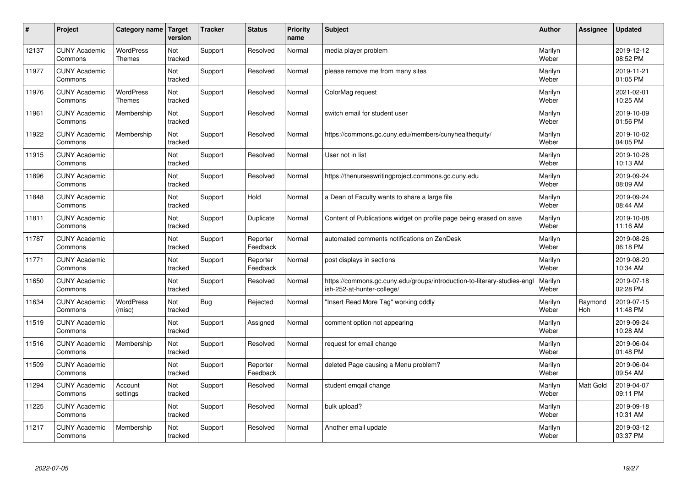| $\vert$ # | Project                         | Category name                     | Target<br>version | <b>Tracker</b> | <b>Status</b>        | <b>Priority</b><br>name | <b>Subject</b>                                                                                         | <b>Author</b>    | Assignee       | <b>Updated</b>         |
|-----------|---------------------------------|-----------------------------------|-------------------|----------------|----------------------|-------------------------|--------------------------------------------------------------------------------------------------------|------------------|----------------|------------------------|
| 12137     | <b>CUNY Academic</b><br>Commons | <b>WordPress</b><br><b>Themes</b> | Not<br>tracked    | Support        | Resolved             | Normal                  | media player problem                                                                                   | Marilyn<br>Weber |                | 2019-12-12<br>08:52 PM |
| 11977     | <b>CUNY Academic</b><br>Commons |                                   | Not<br>tracked    | Support        | Resolved             | Normal                  | please remove me from many sites                                                                       | Marilyn<br>Weber |                | 2019-11-21<br>01:05 PM |
| 11976     | <b>CUNY Academic</b><br>Commons | <b>WordPress</b><br><b>Themes</b> | Not<br>tracked    | Support        | Resolved             | Normal                  | ColorMag request                                                                                       | Marilyn<br>Weber |                | 2021-02-01<br>10:25 AM |
| 11961     | <b>CUNY Academic</b><br>Commons | Membership                        | Not<br>tracked    | Support        | Resolved             | Normal                  | switch email for student user                                                                          | Marilyn<br>Weber |                | 2019-10-09<br>01:56 PM |
| 11922     | <b>CUNY Academic</b><br>Commons | Membership                        | Not<br>tracked    | Support        | Resolved             | Normal                  | https://commons.gc.cuny.edu/members/cunyhealthequity/                                                  | Marilyn<br>Weber |                | 2019-10-02<br>04:05 PM |
| 11915     | <b>CUNY Academic</b><br>Commons |                                   | Not<br>tracked    | Support        | Resolved             | Normal                  | User not in list                                                                                       | Marilyn<br>Weber |                | 2019-10-28<br>10:13 AM |
| 11896     | <b>CUNY Academic</b><br>Commons |                                   | Not<br>tracked    | Support        | Resolved             | Normal                  | https://thenurseswritingproject.commons.gc.cuny.edu                                                    | Marilyn<br>Weber |                | 2019-09-24<br>08:09 AM |
| 11848     | <b>CUNY Academic</b><br>Commons |                                   | Not<br>tracked    | Support        | Hold                 | Normal                  | a Dean of Faculty wants to share a large file                                                          | Marilyn<br>Weber |                | 2019-09-24<br>08:44 AM |
| 11811     | <b>CUNY Academic</b><br>Commons |                                   | Not<br>tracked    | Support        | Duplicate            | Normal                  | Content of Publications widget on profile page being erased on save                                    | Marilyn<br>Weber |                | 2019-10-08<br>11:16 AM |
| 11787     | <b>CUNY Academic</b><br>Commons |                                   | Not<br>tracked    | Support        | Reporter<br>Feedback | Normal                  | automated comments notifications on ZenDesk                                                            | Marilyn<br>Weber |                | 2019-08-26<br>06:18 PM |
| 11771     | <b>CUNY Academic</b><br>Commons |                                   | Not<br>tracked    | Support        | Reporter<br>Feedback | Normal                  | post displays in sections                                                                              | Marilyn<br>Weber |                | 2019-08-20<br>10:34 AM |
| 11650     | <b>CUNY Academic</b><br>Commons |                                   | Not<br>tracked    | Support        | Resolved             | Normal                  | https://commons.gc.cuny.edu/groups/introduction-to-literary-studies-engl<br>ish-252-at-hunter-college/ | Marilyn<br>Weber |                | 2019-07-18<br>02:28 PM |
| 11634     | <b>CUNY Academic</b><br>Commons | <b>WordPress</b><br>(misc)        | Not<br>tracked    | Bug            | Rejected             | Normal                  | "Insert Read More Tag" working oddly                                                                   | Marilyn<br>Weber | Raymond<br>Hoh | 2019-07-15<br>11:48 PM |
| 11519     | <b>CUNY Academic</b><br>Commons |                                   | Not<br>tracked    | Support        | Assigned             | Normal                  | comment option not appearing                                                                           | Marilyn<br>Weber |                | 2019-09-24<br>10:28 AM |
| 11516     | <b>CUNY Academic</b><br>Commons | Membership                        | Not<br>tracked    | Support        | Resolved             | Normal                  | request for email change                                                                               | Marilyn<br>Weber |                | 2019-06-04<br>01:48 PM |
| 11509     | <b>CUNY Academic</b><br>Commons |                                   | Not<br>tracked    | Support        | Reporter<br>Feedback | Normal                  | deleted Page causing a Menu problem?                                                                   | Marilyn<br>Weber |                | 2019-06-04<br>09:54 AM |
| 11294     | <b>CUNY Academic</b><br>Commons | Account<br>settings               | Not<br>tracked    | Support        | Resolved             | Normal                  | student emgail change                                                                                  | Marilyn<br>Weber | Matt Gold      | 2019-04-07<br>09:11 PM |
| 11225     | <b>CUNY Academic</b><br>Commons |                                   | Not<br>tracked    | Support        | Resolved             | Normal                  | bulk upload?                                                                                           | Marilyn<br>Weber |                | 2019-09-18<br>10:31 AM |
| 11217     | <b>CUNY Academic</b><br>Commons | Membership                        | Not<br>tracked    | Support        | Resolved             | Normal                  | Another email update                                                                                   | Marilyn<br>Weber |                | 2019-03-12<br>03:37 PM |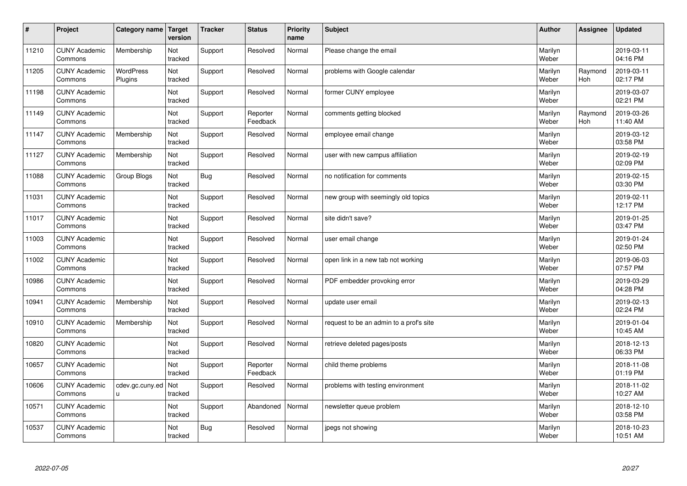| $\sharp$ | Project                         | Category name               | Target<br>version | <b>Tracker</b> | <b>Status</b>        | <b>Priority</b><br>name | <b>Subject</b>                          | <b>Author</b>    | Assignee              | <b>Updated</b>         |
|----------|---------------------------------|-----------------------------|-------------------|----------------|----------------------|-------------------------|-----------------------------------------|------------------|-----------------------|------------------------|
| 11210    | <b>CUNY Academic</b><br>Commons | Membership                  | Not<br>tracked    | Support        | Resolved             | Normal                  | Please change the email                 | Marilyn<br>Weber |                       | 2019-03-11<br>04:16 PM |
| 11205    | <b>CUNY Academic</b><br>Commons | <b>WordPress</b><br>Plugins | Not<br>tracked    | Support        | Resolved             | Normal                  | problems with Google calendar           | Marilyn<br>Weber | Raymond<br>Hoh        | 2019-03-11<br>02:17 PM |
| 11198    | <b>CUNY Academic</b><br>Commons |                             | Not<br>tracked    | Support        | Resolved             | Normal                  | former CUNY employee                    | Marilyn<br>Weber |                       | 2019-03-07<br>02:21 PM |
| 11149    | <b>CUNY Academic</b><br>Commons |                             | Not<br>tracked    | Support        | Reporter<br>Feedback | Normal                  | comments getting blocked                | Marilyn<br>Weber | Raymond<br><b>Hoh</b> | 2019-03-26<br>11:40 AM |
| 11147    | <b>CUNY Academic</b><br>Commons | Membership                  | Not<br>tracked    | Support        | Resolved             | Normal                  | employee email change                   | Marilyn<br>Weber |                       | 2019-03-12<br>03:58 PM |
| 11127    | <b>CUNY Academic</b><br>Commons | Membership                  | Not<br>tracked    | Support        | Resolved             | Normal                  | user with new campus affiliation        | Marilyn<br>Weber |                       | 2019-02-19<br>02:09 PM |
| 11088    | <b>CUNY Academic</b><br>Commons | Group Blogs                 | Not<br>tracked    | Bug            | Resolved             | Normal                  | no notification for comments            | Marilyn<br>Weber |                       | 2019-02-15<br>03:30 PM |
| 11031    | <b>CUNY Academic</b><br>Commons |                             | Not<br>tracked    | Support        | Resolved             | Normal                  | new group with seemingly old topics     | Marilyn<br>Weber |                       | 2019-02-11<br>12:17 PM |
| 11017    | <b>CUNY Academic</b><br>Commons |                             | Not<br>tracked    | Support        | Resolved             | Normal                  | site didn't save?                       | Marilyn<br>Weber |                       | 2019-01-25<br>03:47 PM |
| 11003    | <b>CUNY Academic</b><br>Commons |                             | Not<br>tracked    | Support        | Resolved             | Normal                  | user email change                       | Marilyn<br>Weber |                       | 2019-01-24<br>02:50 PM |
| 11002    | <b>CUNY Academic</b><br>Commons |                             | Not<br>tracked    | Support        | Resolved             | Normal                  | open link in a new tab not working      | Marilyn<br>Weber |                       | 2019-06-03<br>07:57 PM |
| 10986    | <b>CUNY Academic</b><br>Commons |                             | Not<br>tracked    | Support        | Resolved             | Normal                  | PDF embedder provoking error            | Marilyn<br>Weber |                       | 2019-03-29<br>04:28 PM |
| 10941    | <b>CUNY Academic</b><br>Commons | Membership                  | Not<br>tracked    | Support        | Resolved             | Normal                  | update user email                       | Marilyn<br>Weber |                       | 2019-02-13<br>02:24 PM |
| 10910    | <b>CUNY Academic</b><br>Commons | Membership                  | Not<br>tracked    | Support        | Resolved             | Normal                  | request to be an admin to a prof's site | Marilyn<br>Weber |                       | 2019-01-04<br>10:45 AM |
| 10820    | <b>CUNY Academic</b><br>Commons |                             | Not<br>tracked    | Support        | Resolved             | Normal                  | retrieve deleted pages/posts            | Marilyn<br>Weber |                       | 2018-12-13<br>06:33 PM |
| 10657    | <b>CUNY Academic</b><br>Commons |                             | Not<br>tracked    | Support        | Reporter<br>Feedback | Normal                  | child theme problems                    | Marilyn<br>Weber |                       | 2018-11-08<br>01:19 PM |
| 10606    | <b>CUNY Academic</b><br>Commons | cdev.gc.cuny.ed<br>u.       | Not<br>tracked    | Support        | Resolved             | Normal                  | problems with testing environment       | Marilyn<br>Weber |                       | 2018-11-02<br>10:27 AM |
| 10571    | <b>CUNY Academic</b><br>Commons |                             | Not<br>tracked    | Support        | Abandoned            | Normal                  | newsletter queue problem                | Marilyn<br>Weber |                       | 2018-12-10<br>03:58 PM |
| 10537    | <b>CUNY Academic</b><br>Commons |                             | Not<br>tracked    | Bug            | Resolved             | Normal                  | jpegs not showing                       | Marilyn<br>Weber |                       | 2018-10-23<br>10:51 AM |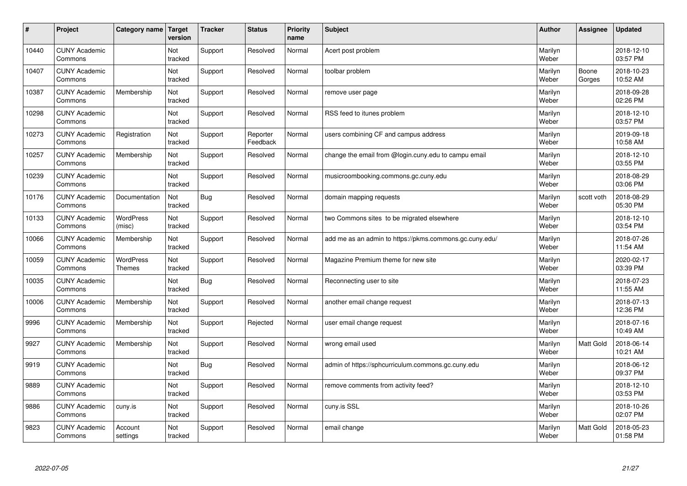| $\pmb{\#}$ | Project                         | Category name              | <b>Target</b><br>version | <b>Tracker</b> | <b>Status</b>        | <b>Priority</b><br>name | <b>Subject</b>                                          | <b>Author</b>    | Assignee        | <b>Updated</b>         |
|------------|---------------------------------|----------------------------|--------------------------|----------------|----------------------|-------------------------|---------------------------------------------------------|------------------|-----------------|------------------------|
| 10440      | <b>CUNY Academic</b><br>Commons |                            | Not<br>tracked           | Support        | Resolved             | Normal                  | Acert post problem                                      | Marilyn<br>Weber |                 | 2018-12-10<br>03:57 PM |
| 10407      | <b>CUNY Academic</b><br>Commons |                            | Not<br>tracked           | Support        | Resolved             | Normal                  | toolbar problem                                         | Marilyn<br>Weber | Boone<br>Gorges | 2018-10-23<br>10:52 AM |
| 10387      | <b>CUNY Academic</b><br>Commons | Membership                 | Not<br>tracked           | Support        | Resolved             | Normal                  | remove user page                                        | Marilyn<br>Weber |                 | 2018-09-28<br>02:26 PM |
| 10298      | <b>CUNY Academic</b><br>Commons |                            | Not<br>tracked           | Support        | Resolved             | Normal                  | RSS feed to itunes problem                              | Marilyn<br>Weber |                 | 2018-12-10<br>03:57 PM |
| 10273      | <b>CUNY Academic</b><br>Commons | Registration               | Not<br>tracked           | Support        | Reporter<br>Feedback | Normal                  | users combining CF and campus address                   | Marilyn<br>Weber |                 | 2019-09-18<br>10:58 AM |
| 10257      | <b>CUNY Academic</b><br>Commons | Membership                 | Not<br>tracked           | Support        | Resolved             | Normal                  | change the email from @login.cuny.edu to campu email    | Marilyn<br>Weber |                 | 2018-12-10<br>03:55 PM |
| 10239      | <b>CUNY Academic</b><br>Commons |                            | Not<br>tracked           | Support        | Resolved             | Normal                  | musicroombooking.commons.gc.cuny.edu                    | Marilyn<br>Weber |                 | 2018-08-29<br>03:06 PM |
| 10176      | <b>CUNY Academic</b><br>Commons | Documentation              | Not<br>tracked           | <b>Bug</b>     | Resolved             | Normal                  | domain mapping requests                                 | Marilyn<br>Weber | scott voth      | 2018-08-29<br>05:30 PM |
| 10133      | <b>CUNY Academic</b><br>Commons | <b>WordPress</b><br>(misc) | Not<br>tracked           | Support        | Resolved             | Normal                  | two Commons sites to be migrated elsewhere              | Marilyn<br>Weber |                 | 2018-12-10<br>03:54 PM |
| 10066      | <b>CUNY Academic</b><br>Commons | Membership                 | Not<br>tracked           | Support        | Resolved             | Normal                  | add me as an admin to https://pkms.commons.gc.cuny.edu/ | Marilyn<br>Weber |                 | 2018-07-26<br>11:54 AM |
| 10059      | <b>CUNY Academic</b><br>Commons | WordPress<br>Themes        | Not<br>tracked           | Support        | Resolved             | Normal                  | Magazine Premium theme for new site                     | Marilyn<br>Weber |                 | 2020-02-17<br>03:39 PM |
| 10035      | <b>CUNY Academic</b><br>Commons |                            | Not<br>tracked           | Bug            | Resolved             | Normal                  | Reconnecting user to site                               | Marilyn<br>Weber |                 | 2018-07-23<br>11:55 AM |
| 10006      | <b>CUNY Academic</b><br>Commons | Membership                 | Not<br>tracked           | Support        | Resolved             | Normal                  | another email change request                            | Marilyn<br>Weber |                 | 2018-07-13<br>12:36 PM |
| 9996       | <b>CUNY Academic</b><br>Commons | Membership                 | Not<br>tracked           | Support        | Rejected             | Normal                  | user email change request                               | Marilyn<br>Weber |                 | 2018-07-16<br>10:49 AM |
| 9927       | <b>CUNY Academic</b><br>Commons | Membership                 | Not<br>tracked           | Support        | Resolved             | Normal                  | wrong email used                                        | Marilyn<br>Weber | Matt Gold       | 2018-06-14<br>10:21 AM |
| 9919       | <b>CUNY Academic</b><br>Commons |                            | Not<br>tracked           | <b>Bug</b>     | Resolved             | Normal                  | admin of https://sphcurriculum.commons.gc.cuny.edu      | Marilyn<br>Weber |                 | 2018-06-12<br>09:37 PM |
| 9889       | <b>CUNY Academic</b><br>Commons |                            | Not<br>tracked           | Support        | Resolved             | Normal                  | remove comments from activity feed?                     | Marilyn<br>Weber |                 | 2018-12-10<br>03:53 PM |
| 9886       | <b>CUNY Academic</b><br>Commons | cuny.is                    | Not<br>tracked           | Support        | Resolved             | Normal                  | cuny.is SSL                                             | Marilyn<br>Weber |                 | 2018-10-26<br>02:07 PM |
| 9823       | <b>CUNY Academic</b><br>Commons | Account<br>settings        | Not<br>tracked           | Support        | Resolved             | Normal                  | email change                                            | Marilyn<br>Weber | Matt Gold       | 2018-05-23<br>01:58 PM |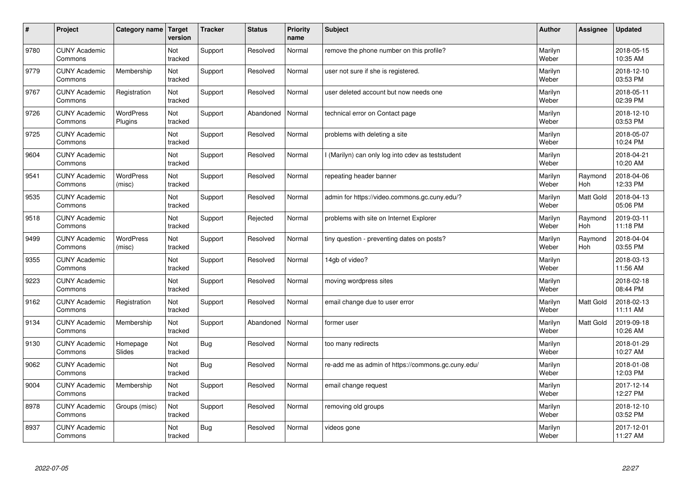| $\sharp$ | Project                         | Category name               | Target<br>version | <b>Tracker</b> | <b>Status</b> | <b>Priority</b><br>name | <b>Subject</b>                                     | <b>Author</b>    | Assignee              | Updated                |
|----------|---------------------------------|-----------------------------|-------------------|----------------|---------------|-------------------------|----------------------------------------------------|------------------|-----------------------|------------------------|
| 9780     | <b>CUNY Academic</b><br>Commons |                             | Not<br>tracked    | Support        | Resolved      | Normal                  | remove the phone number on this profile?           | Marilyn<br>Weber |                       | 2018-05-15<br>10:35 AM |
| 9779     | <b>CUNY Academic</b><br>Commons | Membership                  | Not<br>tracked    | Support        | Resolved      | Normal                  | user not sure if she is registered.                | Marilyn<br>Weber |                       | 2018-12-10<br>03:53 PM |
| 9767     | <b>CUNY Academic</b><br>Commons | Registration                | Not<br>tracked    | Support        | Resolved      | Normal                  | user deleted account but now needs one             | Marilyn<br>Weber |                       | 2018-05-11<br>02:39 PM |
| 9726     | <b>CUNY Academic</b><br>Commons | <b>WordPress</b><br>Plugins | Not<br>tracked    | Support        | Abandoned     | Normal                  | technical error on Contact page                    | Marilyn<br>Weber |                       | 2018-12-10<br>03:53 PM |
| 9725     | <b>CUNY Academic</b><br>Commons |                             | Not<br>tracked    | Support        | Resolved      | Normal                  | problems with deleting a site                      | Marilyn<br>Weber |                       | 2018-05-07<br>10:24 PM |
| 9604     | <b>CUNY Academic</b><br>Commons |                             | Not<br>tracked    | Support        | Resolved      | Normal                  | I (Marilyn) can only log into cdev as teststudent  | Marilyn<br>Weber |                       | 2018-04-21<br>10:20 AM |
| 9541     | <b>CUNY Academic</b><br>Commons | <b>WordPress</b><br>(misc)  | Not<br>tracked    | Support        | Resolved      | Normal                  | repeating header banner                            | Marilyn<br>Weber | Raymond<br>Hoh        | 2018-04-06<br>12:33 PM |
| 9535     | <b>CUNY Academic</b><br>Commons |                             | Not<br>tracked    | Support        | Resolved      | Normal                  | admin for https://video.commons.gc.cuny.edu/?      | Marilyn<br>Weber | Matt Gold             | 2018-04-13<br>05:06 PM |
| 9518     | <b>CUNY Academic</b><br>Commons |                             | Not<br>tracked    | Support        | Rejected      | Normal                  | problems with site on Internet Explorer            | Marilyn<br>Weber | Raymond<br><b>Hoh</b> | 2019-03-11<br>11:18 PM |
| 9499     | <b>CUNY Academic</b><br>Commons | WordPress<br>(misc)         | Not<br>tracked    | Support        | Resolved      | Normal                  | tiny question - preventing dates on posts?         | Marilyn<br>Weber | Raymond<br>Hoh        | 2018-04-04<br>03:55 PM |
| 9355     | <b>CUNY Academic</b><br>Commons |                             | Not<br>tracked    | Support        | Resolved      | Normal                  | 14gb of video?                                     | Marilyn<br>Weber |                       | 2018-03-13<br>11:56 AM |
| 9223     | <b>CUNY Academic</b><br>Commons |                             | Not<br>tracked    | Support        | Resolved      | Normal                  | moving wordpress sites                             | Marilyn<br>Weber |                       | 2018-02-18<br>08:44 PM |
| 9162     | <b>CUNY Academic</b><br>Commons | Registration                | Not<br>tracked    | Support        | Resolved      | Normal                  | email change due to user error                     | Marilyn<br>Weber | Matt Gold             | 2018-02-13<br>11:11 AM |
| 9134     | <b>CUNY Academic</b><br>Commons | Membership                  | Not<br>tracked    | Support        | Abandoned     | Normal                  | former user                                        | Marilyn<br>Weber | Matt Gold             | 2019-09-18<br>10:26 AM |
| 9130     | <b>CUNY Academic</b><br>Commons | Homepage<br>Slides          | Not<br>tracked    | Bug            | Resolved      | Normal                  | too many redirects                                 | Marilyn<br>Weber |                       | 2018-01-29<br>10:27 AM |
| 9062     | <b>CUNY Academic</b><br>Commons |                             | Not<br>tracked    | Bug            | Resolved      | Normal                  | re-add me as admin of https://commons.gc.cuny.edu/ | Marilyn<br>Weber |                       | 2018-01-08<br>12:03 PM |
| 9004     | <b>CUNY Academic</b><br>Commons | Membership                  | Not<br>tracked    | Support        | Resolved      | Normal                  | email change request                               | Marilyn<br>Weber |                       | 2017-12-14<br>12:27 PM |
| 8978     | <b>CUNY Academic</b><br>Commons | Groups (misc)               | Not<br>tracked    | Support        | Resolved      | Normal                  | removing old groups                                | Marilyn<br>Weber |                       | 2018-12-10<br>03:52 PM |
| 8937     | <b>CUNY Academic</b><br>Commons |                             | Not<br>tracked    | Bug            | Resolved      | Normal                  | videos gone                                        | Marilyn<br>Weber |                       | 2017-12-01<br>11:27 AM |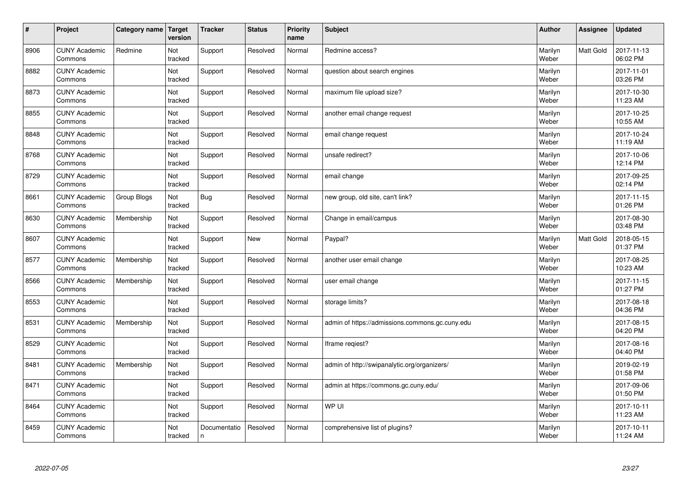| $\sharp$ | Project                         | Category name | Target<br>version | <b>Tracker</b>    | <b>Status</b> | <b>Priority</b><br>name | <b>Subject</b>                                  | <b>Author</b>    | Assignee         | <b>Updated</b>         |
|----------|---------------------------------|---------------|-------------------|-------------------|---------------|-------------------------|-------------------------------------------------|------------------|------------------|------------------------|
| 8906     | <b>CUNY Academic</b><br>Commons | Redmine       | Not<br>tracked    | Support           | Resolved      | Normal                  | Redmine access?                                 | Marilyn<br>Weber | <b>Matt Gold</b> | 2017-11-13<br>06:02 PM |
| 8882     | <b>CUNY Academic</b><br>Commons |               | Not<br>tracked    | Support           | Resolved      | Normal                  | question about search engines                   | Marilyn<br>Weber |                  | 2017-11-01<br>03:26 PM |
| 8873     | <b>CUNY Academic</b><br>Commons |               | Not<br>tracked    | Support           | Resolved      | Normal                  | maximum file upload size?                       | Marilyn<br>Weber |                  | 2017-10-30<br>11:23 AM |
| 8855     | <b>CUNY Academic</b><br>Commons |               | Not<br>tracked    | Support           | Resolved      | Normal                  | another email change request                    | Marilyn<br>Weber |                  | 2017-10-25<br>10:55 AM |
| 8848     | <b>CUNY Academic</b><br>Commons |               | Not<br>tracked    | Support           | Resolved      | Normal                  | email change request                            | Marilyn<br>Weber |                  | 2017-10-24<br>11:19 AM |
| 8768     | <b>CUNY Academic</b><br>Commons |               | Not<br>tracked    | Support           | Resolved      | Normal                  | unsafe redirect?                                | Marilyn<br>Weber |                  | 2017-10-06<br>12:14 PM |
| 8729     | <b>CUNY Academic</b><br>Commons |               | Not<br>tracked    | Support           | Resolved      | Normal                  | email change                                    | Marilyn<br>Weber |                  | 2017-09-25<br>02:14 PM |
| 8661     | <b>CUNY Academic</b><br>Commons | Group Blogs   | Not<br>tracked    | Bug               | Resolved      | Normal                  | new group, old site, can't link?                | Marilyn<br>Weber |                  | 2017-11-15<br>01:26 PM |
| 8630     | <b>CUNY Academic</b><br>Commons | Membership    | Not<br>tracked    | Support           | Resolved      | Normal                  | Change in email/campus                          | Marilyn<br>Weber |                  | 2017-08-30<br>03:48 PM |
| 8607     | <b>CUNY Academic</b><br>Commons |               | Not<br>tracked    | Support           | <b>New</b>    | Normal                  | Paypal?                                         | Marilyn<br>Weber | <b>Matt Gold</b> | 2018-05-15<br>01:37 PM |
| 8577     | <b>CUNY Academic</b><br>Commons | Membership    | Not<br>tracked    | Support           | Resolved      | Normal                  | another user email change                       | Marilyn<br>Weber |                  | 2017-08-25<br>10:23 AM |
| 8566     | <b>CUNY Academic</b><br>Commons | Membership    | Not<br>tracked    | Support           | Resolved      | Normal                  | user email change                               | Marilyn<br>Weber |                  | 2017-11-15<br>01:27 PM |
| 8553     | <b>CUNY Academic</b><br>Commons |               | Not<br>tracked    | Support           | Resolved      | Normal                  | storage limits?                                 | Marilyn<br>Weber |                  | 2017-08-18<br>04:36 PM |
| 8531     | <b>CUNY Academic</b><br>Commons | Membership    | Not<br>tracked    | Support           | Resolved      | Normal                  | admin of https://admissions.commons.gc.cuny.edu | Marilyn<br>Weber |                  | 2017-08-15<br>04:20 PM |
| 8529     | <b>CUNY Academic</b><br>Commons |               | Not<br>tracked    | Support           | Resolved      | Normal                  | lframe regiest?                                 | Marilyn<br>Weber |                  | 2017-08-16<br>04:40 PM |
| 8481     | <b>CUNY Academic</b><br>Commons | Membership    | Not<br>tracked    | Support           | Resolved      | Normal                  | admin of http://swipanalytic.org/organizers/    | Marilyn<br>Weber |                  | 2019-02-19<br>01:58 PM |
| 8471     | <b>CUNY Academic</b><br>Commons |               | Not<br>tracked    | Support           | Resolved      | Normal                  | admin at https://commons.gc.cuny.edu/           | Marilyn<br>Weber |                  | 2017-09-06<br>01:50 PM |
| 8464     | <b>CUNY Academic</b><br>Commons |               | Not<br>tracked    | Support           | Resolved      | Normal                  | WP UI                                           | Marilyn<br>Weber |                  | 2017-10-11<br>11:23 AM |
| 8459     | <b>CUNY Academic</b><br>Commons |               | Not<br>tracked    | Documentatio<br>n | Resolved      | Normal                  | comprehensive list of plugins?                  | Marilyn<br>Weber |                  | 2017-10-11<br>11:24 AM |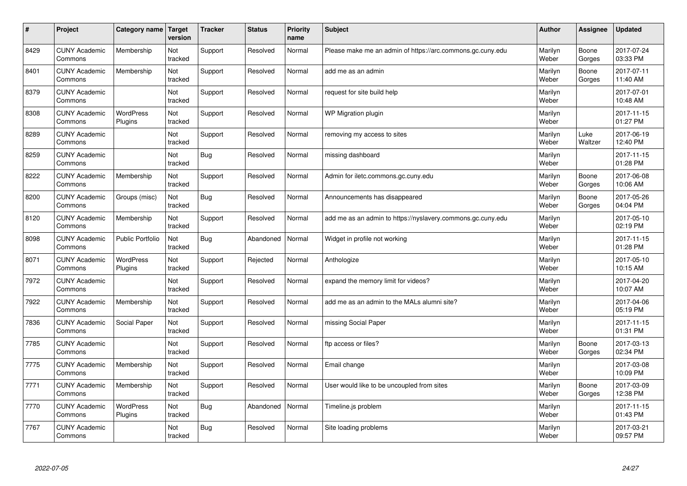| $\#$ | Project                         | Category name   Target      | version        | <b>Tracker</b> | <b>Status</b> | <b>Priority</b><br>name | <b>Subject</b>                                              | <b>Author</b>    | <b>Assignee</b> | <b>Updated</b>         |
|------|---------------------------------|-----------------------------|----------------|----------------|---------------|-------------------------|-------------------------------------------------------------|------------------|-----------------|------------------------|
| 8429 | <b>CUNY Academic</b><br>Commons | Membership                  | Not<br>tracked | Support        | Resolved      | Normal                  | Please make me an admin of https://arc.commons.gc.cuny.edu  | Marilyn<br>Weber | Boone<br>Gorges | 2017-07-24<br>03:33 PM |
| 8401 | <b>CUNY Academic</b><br>Commons | Membership                  | Not<br>tracked | Support        | Resolved      | Normal                  | add me as an admin                                          | Marilyn<br>Weber | Boone<br>Gorges | 2017-07-11<br>11:40 AM |
| 8379 | <b>CUNY Academic</b><br>Commons |                             | Not<br>tracked | Support        | Resolved      | Normal                  | request for site build help                                 | Marilyn<br>Weber |                 | 2017-07-01<br>10:48 AM |
| 8308 | <b>CUNY Academic</b><br>Commons | <b>WordPress</b><br>Plugins | Not<br>tracked | Support        | Resolved      | Normal                  | WP Migration plugin                                         | Marilyn<br>Weber |                 | 2017-11-15<br>01:27 PM |
| 8289 | <b>CUNY Academic</b><br>Commons |                             | Not<br>tracked | Support        | Resolved      | Normal                  | removing my access to sites                                 | Marilyn<br>Weber | Luke<br>Waltzer | 2017-06-19<br>12:40 PM |
| 8259 | <b>CUNY Academic</b><br>Commons |                             | Not<br>tracked | Bug            | Resolved      | Normal                  | missing dashboard                                           | Marilyn<br>Weber |                 | 2017-11-15<br>01:28 PM |
| 8222 | <b>CUNY Academic</b><br>Commons | Membership                  | Not<br>tracked | Support        | Resolved      | Normal                  | Admin for iletc.commons.gc.cuny.edu                         | Marilyn<br>Weber | Boone<br>Gorges | 2017-06-08<br>10:06 AM |
| 8200 | <b>CUNY Academic</b><br>Commons | Groups (misc)               | Not<br>tracked | Bug            | Resolved      | Normal                  | Announcements has disappeared                               | Marilyn<br>Weber | Boone<br>Gorges | 2017-05-26<br>04:04 PM |
| 8120 | <b>CUNY Academic</b><br>Commons | Membership                  | Not<br>tracked | Support        | Resolved      | Normal                  | add me as an admin to https://nyslavery.commons.gc.cuny.edu | Marilyn<br>Weber |                 | 2017-05-10<br>02:19 PM |
| 8098 | <b>CUNY Academic</b><br>Commons | <b>Public Portfolio</b>     | Not<br>tracked | <b>Bug</b>     | Abandoned     | Normal                  | Widget in profile not working                               | Marilyn<br>Weber |                 | 2017-11-15<br>01:28 PM |
| 8071 | <b>CUNY Academic</b><br>Commons | <b>WordPress</b><br>Plugins | Not<br>tracked | Support        | Rejected      | Normal                  | Anthologize                                                 | Marilyn<br>Weber |                 | 2017-05-10<br>10:15 AM |
| 7972 | <b>CUNY Academic</b><br>Commons |                             | Not<br>tracked | Support        | Resolved      | Normal                  | expand the memory limit for videos?                         | Marilyn<br>Weber |                 | 2017-04-20<br>10:07 AM |
| 7922 | <b>CUNY Academic</b><br>Commons | Membership                  | Not<br>tracked | Support        | Resolved      | Normal                  | add me as an admin to the MALs alumni site?                 | Marilyn<br>Weber |                 | 2017-04-06<br>05:19 PM |
| 7836 | <b>CUNY Academic</b><br>Commons | Social Paper                | Not<br>tracked | Support        | Resolved      | Normal                  | missing Social Paper                                        | Marilyn<br>Weber |                 | 2017-11-15<br>01:31 PM |
| 7785 | <b>CUNY Academic</b><br>Commons |                             | Not<br>tracked | Support        | Resolved      | Normal                  | ftp access or files?                                        | Marilyn<br>Weber | Boone<br>Gorges | 2017-03-13<br>02:34 PM |
| 7775 | <b>CUNY Academic</b><br>Commons | Membership                  | Not<br>tracked | Support        | Resolved      | Normal                  | Email change                                                | Marilyn<br>Weber |                 | 2017-03-08<br>10:09 PM |
| 7771 | <b>CUNY Academic</b><br>Commons | Membership                  | Not<br>tracked | Support        | Resolved      | Normal                  | User would like to be uncoupled from sites                  | Marilyn<br>Weber | Boone<br>Gorges | 2017-03-09<br>12:38 PM |
| 7770 | <b>CUNY Academic</b><br>Commons | <b>WordPress</b><br>Plugins | Not<br>tracked | <b>Bug</b>     | Abandoned     | Normal                  | Timeline.js problem                                         | Marilyn<br>Weber |                 | 2017-11-15<br>01:43 PM |
| 7767 | <b>CUNY Academic</b><br>Commons |                             | Not<br>tracked | Bug            | Resolved      | Normal                  | Site loading problems                                       | Marilyn<br>Weber |                 | 2017-03-21<br>09:57 PM |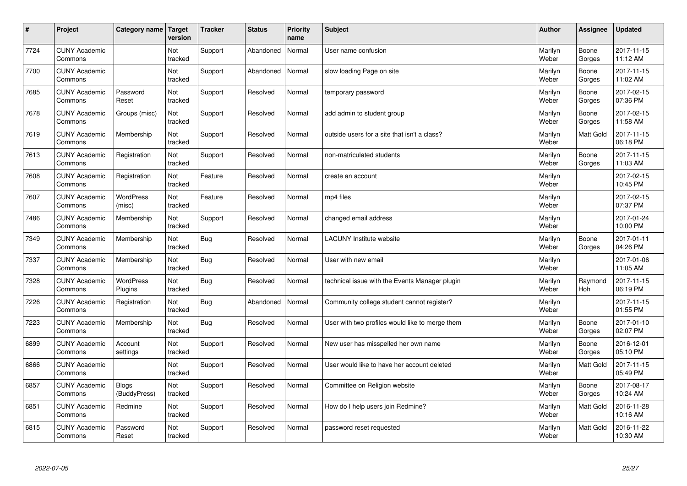| $\vert$ # | Project                         | Category name                | <b>Target</b><br>version | <b>Tracker</b> | <b>Status</b> | <b>Priority</b><br>name | <b>Subject</b>                                  | <b>Author</b>    | <b>Assignee</b>  | <b>Updated</b>         |
|-----------|---------------------------------|------------------------------|--------------------------|----------------|---------------|-------------------------|-------------------------------------------------|------------------|------------------|------------------------|
| 7724      | <b>CUNY Academic</b><br>Commons |                              | Not<br>tracked           | Support        | Abandoned     | Normal                  | User name confusion                             | Marilyn<br>Weber | Boone<br>Gorges  | 2017-11-15<br>11:12 AM |
| 7700      | <b>CUNY Academic</b><br>Commons |                              | Not<br>tracked           | Support        | Abandoned     | Normal                  | slow loading Page on site                       | Marilyn<br>Weber | Boone<br>Gorges  | 2017-11-15<br>11:02 AM |
| 7685      | <b>CUNY Academic</b><br>Commons | Password<br>Reset            | Not<br>tracked           | Support        | Resolved      | Normal                  | temporary password                              | Marilyn<br>Weber | Boone<br>Gorges  | 2017-02-15<br>07:36 PM |
| 7678      | <b>CUNY Academic</b><br>Commons | Groups (misc)                | Not<br>tracked           | Support        | Resolved      | Normal                  | add admin to student group                      | Marilyn<br>Weber | Boone<br>Gorges  | 2017-02-15<br>11:58 AM |
| 7619      | <b>CUNY Academic</b><br>Commons | Membership                   | Not<br>tracked           | Support        | Resolved      | Normal                  | outside users for a site that isn't a class?    | Marilyn<br>Weber | Matt Gold        | 2017-11-15<br>06:18 PM |
| 7613      | <b>CUNY Academic</b><br>Commons | Registration                 | Not<br>tracked           | Support        | Resolved      | Normal                  | non-matriculated students                       | Marilyn<br>Weber | Boone<br>Gorges  | 2017-11-15<br>11:03 AM |
| 7608      | <b>CUNY Academic</b><br>Commons | Registration                 | Not<br>tracked           | Feature        | Resolved      | Normal                  | create an account                               | Marilyn<br>Weber |                  | 2017-02-15<br>10:45 PM |
| 7607      | <b>CUNY Academic</b><br>Commons | WordPress<br>(misc)          | Not<br>tracked           | Feature        | Resolved      | Normal                  | mp4 files                                       | Marilyn<br>Weber |                  | 2017-02-15<br>07:37 PM |
| 7486      | <b>CUNY Academic</b><br>Commons | Membership                   | Not<br>tracked           | Support        | Resolved      | Normal                  | changed email address                           | Marilyn<br>Weber |                  | 2017-01-24<br>10:00 PM |
| 7349      | <b>CUNY Academic</b><br>Commons | Membership                   | Not<br>tracked           | <b>Bug</b>     | Resolved      | Normal                  | <b>LACUNY</b> Institute website                 | Marilyn<br>Weber | Boone<br>Gorges  | 2017-01-11<br>04:26 PM |
| 7337      | <b>CUNY Academic</b><br>Commons | Membership                   | Not<br>tracked           | Bug            | Resolved      | Normal                  | User with new email                             | Marilyn<br>Weber |                  | 2017-01-06<br>11:05 AM |
| 7328      | <b>CUNY Academic</b><br>Commons | WordPress<br>Plugins         | Not<br>tracked           | <b>Bug</b>     | Resolved      | Normal                  | technical issue with the Events Manager plugin  | Marilyn<br>Weber | Raymond<br>Hoh   | 2017-11-15<br>06:19 PM |
| 7226      | <b>CUNY Academic</b><br>Commons | Registration                 | Not<br>tracked           | <b>Bug</b>     | Abandoned     | Normal                  | Community college student cannot register?      | Marilyn<br>Weber |                  | 2017-11-15<br>01:55 PM |
| 7223      | <b>CUNY Academic</b><br>Commons | Membership                   | Not<br>tracked           | <b>Bug</b>     | Resolved      | Normal                  | User with two profiles would like to merge them | Marilyn<br>Weber | Boone<br>Gorges  | 2017-01-10<br>02:07 PM |
| 6899      | <b>CUNY Academic</b><br>Commons | Account<br>settings          | Not<br>tracked           | Support        | Resolved      | Normal                  | New user has misspelled her own name            | Marilyn<br>Weber | Boone<br>Gorges  | 2016-12-01<br>05:10 PM |
| 6866      | <b>CUNY Academic</b><br>Commons |                              | Not<br>tracked           | Support        | Resolved      | Normal                  | User would like to have her account deleted     | Marilyn<br>Weber | <b>Matt Gold</b> | 2017-11-15<br>05:49 PM |
| 6857      | <b>CUNY Academic</b><br>Commons | <b>Blogs</b><br>(BuddyPress) | Not<br>tracked           | Support        | Resolved      | Normal                  | Committee on Religion website                   | Marilyn<br>Weber | Boone<br>Gorges  | 2017-08-17<br>10:24 AM |
| 6851      | <b>CUNY Academic</b><br>Commons | Redmine                      | Not<br>tracked           | Support        | Resolved      | Normal                  | How do I help users join Redmine?               | Marilyn<br>Weber | Matt Gold        | 2016-11-28<br>10:16 AM |
| 6815      | <b>CUNY Academic</b><br>Commons | Password<br>Reset            | Not<br>tracked           | Support        | Resolved      | Normal                  | password reset requested                        | Marilyn<br>Weber | Matt Gold        | 2016-11-22<br>10:30 AM |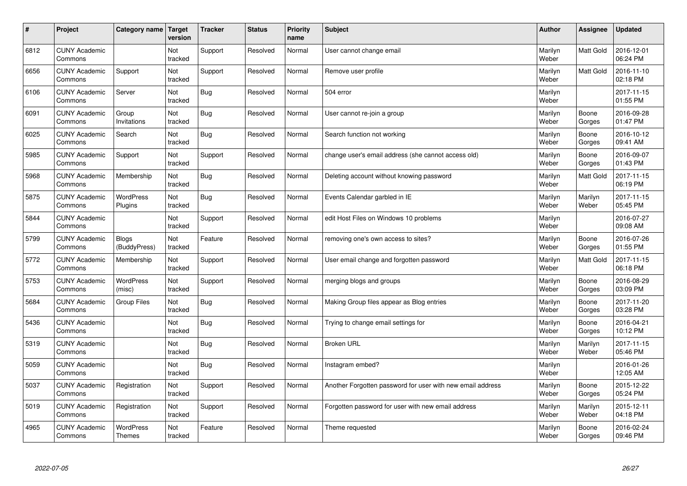| $\sharp$ | Project                         | Category name                     | Target<br>version | <b>Tracker</b> | <b>Status</b> | <b>Priority</b><br>name | <b>Subject</b>                                             | <b>Author</b>    | Assignee         | <b>Updated</b>         |
|----------|---------------------------------|-----------------------------------|-------------------|----------------|---------------|-------------------------|------------------------------------------------------------|------------------|------------------|------------------------|
| 6812     | <b>CUNY Academic</b><br>Commons |                                   | Not<br>tracked    | Support        | Resolved      | Normal                  | User cannot change email                                   | Marilyn<br>Weber | <b>Matt Gold</b> | 2016-12-01<br>06:24 PM |
| 6656     | <b>CUNY Academic</b><br>Commons | Support                           | Not<br>tracked    | Support        | Resolved      | Normal                  | Remove user profile                                        | Marilyn<br>Weber | <b>Matt Gold</b> | 2016-11-10<br>02:18 PM |
| 6106     | <b>CUNY Academic</b><br>Commons | Server                            | Not<br>tracked    | Bug            | Resolved      | Normal                  | 504 error                                                  | Marilyn<br>Weber |                  | 2017-11-15<br>01:55 PM |
| 6091     | <b>CUNY Academic</b><br>Commons | Group<br>Invitations              | Not<br>tracked    | Bug            | Resolved      | Normal                  | User cannot re-join a group                                | Marilyn<br>Weber | Boone<br>Gorges  | 2016-09-28<br>01:47 PM |
| 6025     | <b>CUNY Academic</b><br>Commons | Search                            | Not<br>tracked    | Bug            | Resolved      | Normal                  | Search function not working                                | Marilyn<br>Weber | Boone<br>Gorges  | 2016-10-12<br>09:41 AM |
| 5985     | <b>CUNY Academic</b><br>Commons | Support                           | Not<br>tracked    | Support        | Resolved      | Normal                  | change user's email address (she cannot access old)        | Marilyn<br>Weber | Boone<br>Gorges  | 2016-09-07<br>01:43 PM |
| 5968     | <b>CUNY Academic</b><br>Commons | Membership                        | Not<br>tracked    | Bug            | Resolved      | Normal                  | Deleting account without knowing password                  | Marilyn<br>Weber | <b>Matt Gold</b> | 2017-11-15<br>06:19 PM |
| 5875     | <b>CUNY Academic</b><br>Commons | WordPress<br><b>Plugins</b>       | Not<br>tracked    | Bug            | Resolved      | Normal                  | Events Calendar garbled in IE                              | Marilyn<br>Weber | Marilyn<br>Weber | 2017-11-15<br>05:45 PM |
| 5844     | <b>CUNY Academic</b><br>Commons |                                   | Not<br>tracked    | Support        | Resolved      | Normal                  | edit Host Files on Windows 10 problems                     | Marilyn<br>Weber |                  | 2016-07-27<br>09:08 AM |
| 5799     | <b>CUNY Academic</b><br>Commons | <b>Blogs</b><br>(BuddyPress)      | Not<br>tracked    | Feature        | Resolved      | Normal                  | removing one's own access to sites?                        | Marilyn<br>Weber | Boone<br>Gorges  | 2016-07-26<br>01:55 PM |
| 5772     | <b>CUNY Academic</b><br>Commons | Membership                        | Not<br>tracked    | Support        | Resolved      | Normal                  | User email change and forgotten password                   | Marilyn<br>Weber | Matt Gold        | 2017-11-15<br>06:18 PM |
| 5753     | <b>CUNY Academic</b><br>Commons | <b>WordPress</b><br>(misc)        | Not<br>tracked    | Support        | Resolved      | Normal                  | merging blogs and groups                                   | Marilyn<br>Weber | Boone<br>Gorges  | 2016-08-29<br>03:09 PM |
| 5684     | <b>CUNY Academic</b><br>Commons | <b>Group Files</b>                | Not<br>tracked    | Bug            | Resolved      | Normal                  | Making Group files appear as Blog entries                  | Marilyn<br>Weber | Boone<br>Gorges  | 2017-11-20<br>03:28 PM |
| 5436     | <b>CUNY Academic</b><br>Commons |                                   | Not<br>tracked    | Bug            | Resolved      | Normal                  | Trying to change email settings for                        | Marilyn<br>Weber | Boone<br>Gorges  | 2016-04-21<br>10:12 PM |
| 5319     | <b>CUNY Academic</b><br>Commons |                                   | Not<br>tracked    | Bug            | Resolved      | Normal                  | <b>Broken URL</b>                                          | Marilyn<br>Weber | Marilyn<br>Weber | 2017-11-15<br>05:46 PM |
| 5059     | <b>CUNY Academic</b><br>Commons |                                   | Not<br>tracked    | Bug            | Resolved      | Normal                  | Instagram embed?                                           | Marilyn<br>Weber |                  | 2016-01-26<br>12:05 AM |
| 5037     | <b>CUNY Academic</b><br>Commons | Registration                      | Not<br>tracked    | Support        | Resolved      | Normal                  | Another Forgotten password for user with new email address | Marilyn<br>Weber | Boone<br>Gorges  | 2015-12-22<br>05:24 PM |
| 5019     | <b>CUNY Academic</b><br>Commons | Registration                      | Not<br>tracked    | Support        | Resolved      | Normal                  | Forgotten password for user with new email address         | Marilyn<br>Weber | Marilyn<br>Weber | 2015-12-11<br>04:18 PM |
| 4965     | <b>CUNY Academic</b><br>Commons | <b>WordPress</b><br><b>Themes</b> | Not<br>tracked    | Feature        | Resolved      | Normal                  | Theme requested                                            | Marilyn<br>Weber | Boone<br>Gorges  | 2016-02-24<br>09:46 PM |